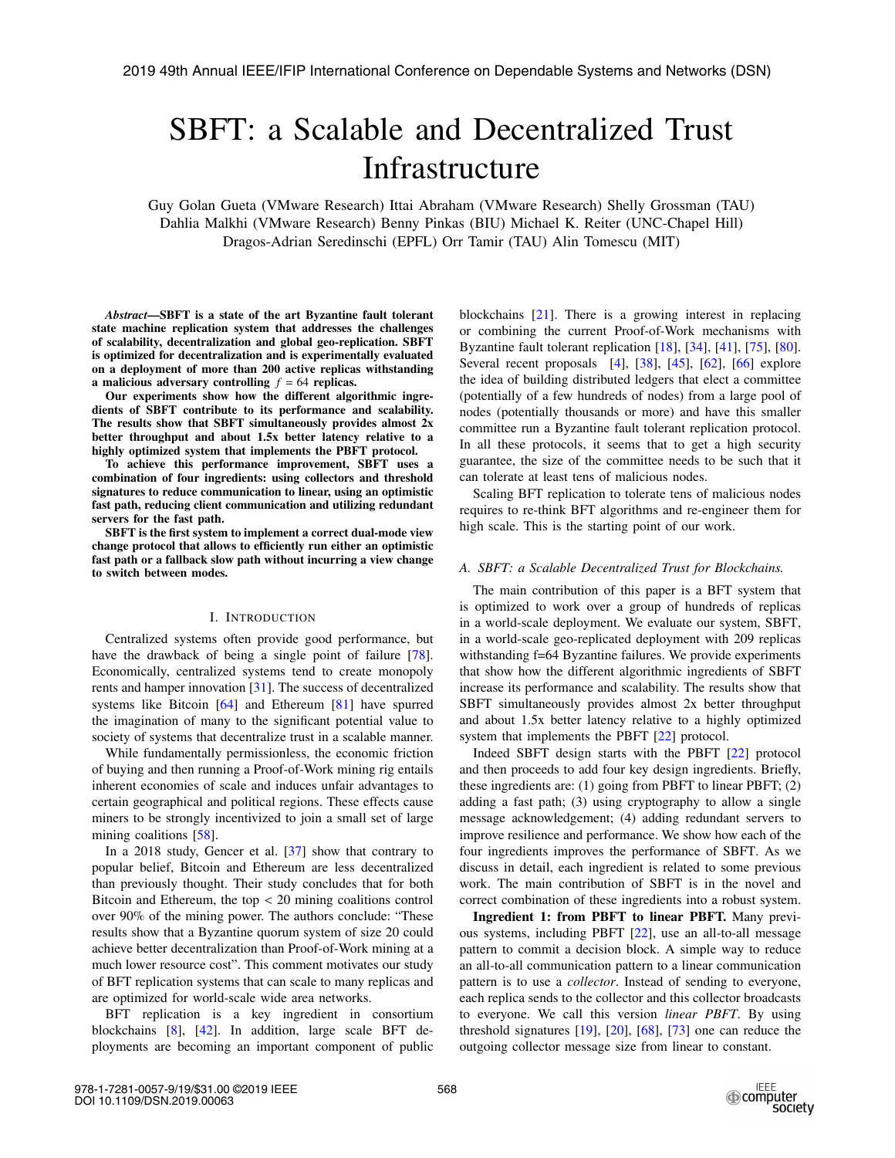# SBFT: a Scalable and Decentralized Trust Infrastructure

Guy Golan Gueta (VMware Research) Ittai Abraham (VMware Research) Shelly Grossman (TAU) Dahlia Malkhi (VMware Research) Benny Pinkas (BIU) Michael K. Reiter (UNC-Chapel Hill) Dragos-Adrian Seredinschi (EPFL) Orr Tamir (TAU) Alin Tomescu (MIT)

*Abstract*—SBFT is a state of the art Byzantine fault tolerant state machine replication system that addresses the challenges of scalability, decentralization and global geo-replication. SBFT is optimized for decentralization and is experimentally evaluated on a deployment of more than 200 active replicas withstanding a malicious adversary controlling  $f = 64$  replicas.

Our experiments show how the different algorithmic ingredients of SBFT contribute to its performance and scalability. The results show that SBFT simultaneously provides almost 2x better throughput and about 1.5x better latency relative to a highly optimized system that implements the PBFT protocol.

To achieve this performance improvement, SBFT uses a combination of four ingredients: using collectors and threshold signatures to reduce communication to linear, using an optimistic fast path, reducing client communication and utilizing redundant servers for the fast path.

SBFT is the first system to implement a correct dual-mode view change protocol that allows to efficiently run either an optimistic fast path or a fallback slow path without incurring a view change to switch between modes.

## I. INTRODUCTION

Centralized systems often provide good performance, but have the drawback of being a single point of failure [78]. Economically, centralized systems tend to create monopoly rents and hamper innovation [31]. The success of decentralized systems like Bitcoin [64] and Ethereum [81] have spurred the imagination of many to the significant potential value to society of systems that decentralize trust in a scalable manner.

While fundamentally permissionless, the economic friction of buying and then running a Proof-of-Work mining rig entails inherent economies of scale and induces unfair advantages to certain geographical and political regions. These effects cause miners to be strongly incentivized to join a small set of large mining coalitions [58].

In a 2018 study, Gencer et al. [37] show that contrary to popular belief, Bitcoin and Ethereum are less decentralized than previously thought. Their study concludes that for both Bitcoin and Ethereum, the top < 20 mining coalitions control over 90% of the mining power. The authors conclude: "These results show that a Byzantine quorum system of size 20 could achieve better decentralization than Proof-of-Work mining at a much lower resource cost". This comment motivates our study of BFT replication systems that can scale to many replicas and are optimized for world-scale wide area networks.

BFT replication is a key ingredient in consortium blockchains [8], [42]. In addition, large scale BFT deployments are becoming an important component of public blockchains [21]. There is a growing interest in replacing or combining the current Proof-of-Work mechanisms with Byzantine fault tolerant replication [18], [34], [41], [75], [80]. Several recent proposals [4], [38], [45], [62], [66] explore the idea of building distributed ledgers that elect a committee (potentially of a few hundreds of nodes) from a large pool of nodes (potentially thousands or more) and have this smaller committee run a Byzantine fault tolerant replication protocol. In all these protocols, it seems that to get a high security guarantee, the size of the committee needs to be such that it can tolerate at least tens of malicious nodes.

Scaling BFT replication to tolerate tens of malicious nodes requires to re-think BFT algorithms and re-engineer them for high scale. This is the starting point of our work.

## *A. SBFT: a Scalable Decentralized Trust for Blockchains.*

The main contribution of this paper is a BFT system that is optimized to work over a group of hundreds of replicas in a world-scale deployment. We evaluate our system, SBFT, in a world-scale geo-replicated deployment with 209 replicas withstanding f=64 Byzantine failures. We provide experiments that show how the different algorithmic ingredients of SBFT increase its performance and scalability. The results show that SBFT simultaneously provides almost 2x better throughput and about 1.5x better latency relative to a highly optimized system that implements the PBFT [22] protocol.

Indeed SBFT design starts with the PBFT [22] protocol and then proceeds to add four key design ingredients. Briefly, these ingredients are: (1) going from PBFT to linear PBFT; (2) adding a fast path; (3) using cryptography to allow a single message acknowledgement; (4) adding redundant servers to improve resilience and performance. We show how each of the four ingredients improves the performance of SBFT. As we discuss in detail, each ingredient is related to some previous work. The main contribution of SBFT is in the novel and correct combination of these ingredients into a robust system.

Ingredient 1: from PBFT to linear PBFT. Many previous systems, including PBFT [22], use an all-to-all message pattern to commit a decision block. A simple way to reduce an all-to-all communication pattern to a linear communication pattern is to use a *collector*. Instead of sending to everyone, each replica sends to the collector and this collector broadcasts to everyone. We call this version *linear PBFT*. By using threshold signatures  $[19]$ ,  $[20]$ ,  $[68]$ ,  $[73]$  one can reduce the outgoing collector message size from linear to constant.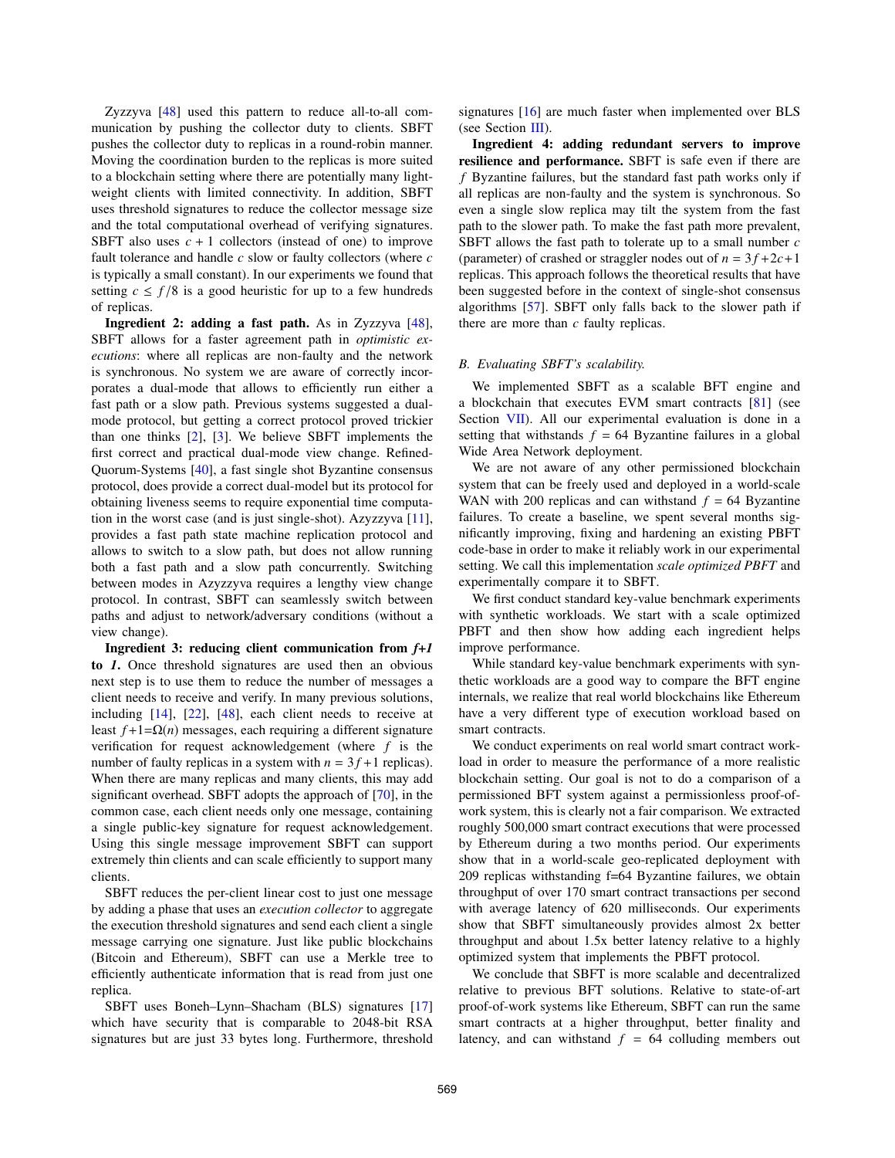Zyzzyva [48] used this pattern to reduce all-to-all communication by pushing the collector duty to clients. SBFT pushes the collector duty to replicas in a round-robin manner. Moving the coordination burden to the replicas is more suited to a blockchain setting where there are potentially many lightweight clients with limited connectivity. In addition, SBFT uses threshold signatures to reduce the collector message size and the total computational overhead of verifying signatures. SBFT also uses  $c + 1$  collectors (instead of one) to improve fault tolerance and handle *c* slow or faulty collectors (where *c* is typically a small constant). In our experiments we found that setting  $c \le f/8$  is a good heuristic for up to a few hundreds of replicas.

Ingredient 2: adding a fast path. As in Zyzzyva [48], SBFT allows for a faster agreement path in *optimistic executions*: where all replicas are non-faulty and the network is synchronous. No system we are aware of correctly incorporates a dual-mode that allows to efficiently run either a fast path or a slow path. Previous systems suggested a dualmode protocol, but getting a correct protocol proved trickier than one thinks [2], [3]. We believe SBFT implements the first correct and practical dual-mode view change. Refined-Quorum-Systems [40], a fast single shot Byzantine consensus protocol, does provide a correct dual-model but its protocol for obtaining liveness seems to require exponential time computation in the worst case (and is just single-shot). Azyzzyva [11], provides a fast path state machine replication protocol and allows to switch to a slow path, but does not allow running both a fast path and a slow path concurrently. Switching between modes in Azyzzyva requires a lengthy view change protocol. In contrast, SBFT can seamlessly switch between paths and adjust to network/adversary conditions (without a view change).

Ingredient 3: reducing client communication from *f+1* to *1*. Once threshold signatures are used then an obvious next step is to use them to reduce the number of messages a client needs to receive and verify. In many previous solutions, including [14], [22], [48], each client needs to receive at least  $f+1=\Omega(n)$  messages, each requiring a different signature verification for request acknowledgement (where *f* is the number of faulty replicas in a system with  $n = 3f + 1$  replicas). When there are many replicas and many clients, this may add significant overhead. SBFT adopts the approach of [70], in the common case, each client needs only one message, containing a single public-key signature for request acknowledgement. Using this single message improvement SBFT can support extremely thin clients and can scale efficiently to support many clients.

SBFT reduces the per-client linear cost to just one message by adding a phase that uses an *execution collector* to aggregate the execution threshold signatures and send each client a single message carrying one signature. Just like public blockchains (Bitcoin and Ethereum), SBFT can use a Merkle tree to efficiently authenticate information that is read from just one replica.

SBFT uses Boneh–Lynn–Shacham (BLS) signatures [17] which have security that is comparable to 2048-bit RSA signatures but are just 33 bytes long. Furthermore, threshold signatures [16] are much faster when implemented over BLS (see Section III).

Ingredient 4: adding redundant servers to improve resilience and performance. SBFT is safe even if there are *f* Byzantine failures, but the standard fast path works only if all replicas are non-faulty and the system is synchronous. So even a single slow replica may tilt the system from the fast path to the slower path. To make the fast path more prevalent, SBFT allows the fast path to tolerate up to a small number *c* (parameter) of crashed or straggler nodes out of  $n = 3f + 2c + 1$ replicas. This approach follows the theoretical results that have been suggested before in the context of single-shot consensus algorithms [57]. SBFT only falls back to the slower path if there are more than *c* faulty replicas.

# *B. Evaluating SBFT's scalability.*

We implemented SBFT as a scalable BFT engine and a blockchain that executes EVM smart contracts [81] (see Section VII). All our experimental evaluation is done in a setting that withstands  $f = 64$  Byzantine failures in a global Wide Area Network deployment.

We are not aware of any other permissioned blockchain system that can be freely used and deployed in a world-scale WAN with 200 replicas and can withstand  $f = 64$  Byzantine failures. To create a baseline, we spent several months significantly improving, fixing and hardening an existing PBFT code-base in order to make it reliably work in our experimental setting. We call this implementation *scale optimized PBFT* and experimentally compare it to SBFT.

We first conduct standard key-value benchmark experiments with synthetic workloads. We start with a scale optimized PBFT and then show how adding each ingredient helps improve performance.

While standard key-value benchmark experiments with synthetic workloads are a good way to compare the BFT engine internals, we realize that real world blockchains like Ethereum have a very different type of execution workload based on smart contracts.

We conduct experiments on real world smart contract workload in order to measure the performance of a more realistic blockchain setting. Our goal is not to do a comparison of a permissioned BFT system against a permissionless proof-ofwork system, this is clearly not a fair comparison. We extracted roughly 500,000 smart contract executions that were processed by Ethereum during a two months period. Our experiments show that in a world-scale geo-replicated deployment with 209 replicas withstanding f=64 Byzantine failures, we obtain throughput of over 170 smart contract transactions per second with average latency of 620 milliseconds. Our experiments show that SBFT simultaneously provides almost 2x better throughput and about 1.5x better latency relative to a highly optimized system that implements the PBFT protocol.

We conclude that SBFT is more scalable and decentralized relative to previous BFT solutions. Relative to state-of-art proof-of-work systems like Ethereum, SBFT can run the same smart contracts at a higher throughput, better finality and latency, and can withstand  $f = 64$  colluding members out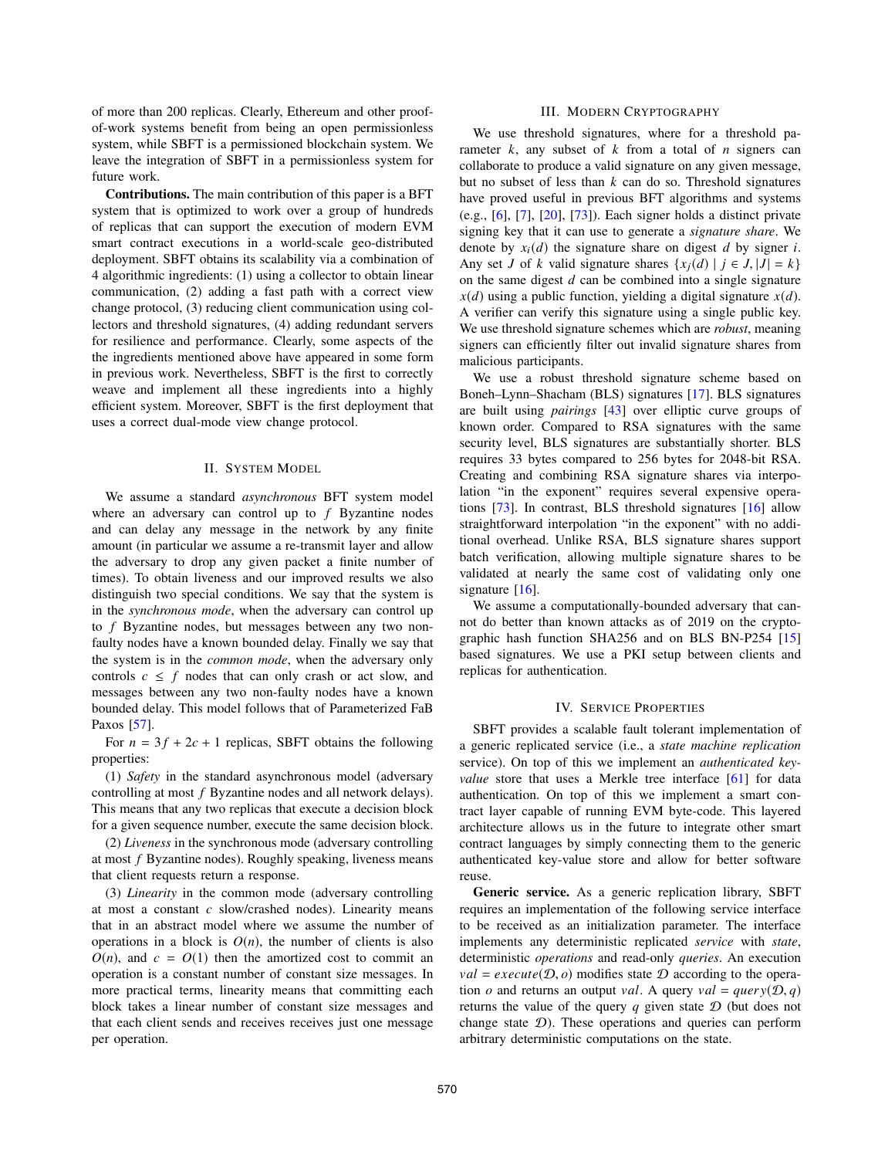of more than 200 replicas. Clearly, Ethereum and other proofof-work systems benefit from being an open permissionless system, while SBFT is a permissioned blockchain system. We leave the integration of SBFT in a permissionless system for future work.

Contributions. The main contribution of this paper is a BFT system that is optimized to work over a group of hundreds of replicas that can support the execution of modern EVM smart contract executions in a world-scale geo-distributed deployment. SBFT obtains its scalability via a combination of 4 algorithmic ingredients: (1) using a collector to obtain linear communication, (2) adding a fast path with a correct view change protocol, (3) reducing client communication using collectors and threshold signatures, (4) adding redundant servers for resilience and performance. Clearly, some aspects of the the ingredients mentioned above have appeared in some form in previous work. Nevertheless, SBFT is the first to correctly weave and implement all these ingredients into a highly efficient system. Moreover, SBFT is the first deployment that uses a correct dual-mode view change protocol.

# II. SYSTEM MODEL

We assume a standard *asynchronous* BFT system model where an adversary can control up to *f* Byzantine nodes and can delay any message in the network by any finite amount (in particular we assume a re-transmit layer and allow the adversary to drop any given packet a finite number of times). To obtain liveness and our improved results we also distinguish two special conditions. We say that the system is in the *synchronous mode*, when the adversary can control up to *f* Byzantine nodes, but messages between any two nonfaulty nodes have a known bounded delay. Finally we say that the system is in the *common mode*, when the adversary only controls  $c \leq f$  nodes that can only crash or act slow, and messages between any two non-faulty nodes have a known bounded delay. This model follows that of Parameterized FaB Paxos [57].

For  $n = 3f + 2c + 1$  replicas, SBFT obtains the following properties:

(1) *Safety* in the standard asynchronous model (adversary controlling at most *f* Byzantine nodes and all network delays). This means that any two replicas that execute a decision block for a given sequence number, execute the same decision block.

(2) *Liveness* in the synchronous mode (adversary controlling at most *f* Byzantine nodes). Roughly speaking, liveness means that client requests return a response.

(3) *Linearity* in the common mode (adversary controlling at most a constant *c* slow/crashed nodes). Linearity means that in an abstract model where we assume the number of operations in a block is  $O(n)$ , the number of clients is also  $O(n)$ , and  $c = O(1)$  then the amortized cost to commit an operation is a constant number of constant size messages. In more practical terms, linearity means that committing each block takes a linear number of constant size messages and that each client sends and receives receives just one message per operation.

# III. MODERN CRYPTOGRAPHY

We use threshold signatures, where for a threshold parameter *k*, any subset of *k* from a total of *n* signers can collaborate to produce a valid signature on any given message, but no subset of less than *k* can do so. Threshold signatures have proved useful in previous BFT algorithms and systems (e.g., [6], [7], [20], [73]). Each signer holds a distinct private signing key that it can use to generate a *signature share*. We denote by  $x_i(d)$  the signature share on digest *d* by signer *i*. Any set *J* of *k* valid signature shares  $\{x_i(d) | j \in J, |J| = k\}$ on the same digest *d* can be combined into a single signature  $x(d)$  using a public function, yielding a digital signature  $x(d)$ . A verifier can verify this signature using a single public key. We use threshold signature schemes which are *robust*, meaning signers can efficiently filter out invalid signature shares from malicious participants.

We use a robust threshold signature scheme based on Boneh–Lynn–Shacham (BLS) signatures [17]. BLS signatures are built using *pairings* [43] over elliptic curve groups of known order. Compared to RSA signatures with the same security level, BLS signatures are substantially shorter. BLS requires 33 bytes compared to 256 bytes for 2048-bit RSA. Creating and combining RSA signature shares via interpolation "in the exponent" requires several expensive operations [73]. In contrast, BLS threshold signatures [16] allow straightforward interpolation "in the exponent" with no additional overhead. Unlike RSA, BLS signature shares support batch verification, allowing multiple signature shares to be validated at nearly the same cost of validating only one signature  $[16]$ .

We assume a computationally-bounded adversary that cannot do better than known attacks as of 2019 on the cryptographic hash function SHA256 and on BLS BN-P254 [15] based signatures. We use a PKI setup between clients and replicas for authentication.

## IV. SERVICE PROPERTIES

SBFT provides a scalable fault tolerant implementation of a generic replicated service (i.e., a *state machine replication* service). On top of this we implement an *authenticated keyvalue* store that uses a Merkle tree interface [61] for data authentication. On top of this we implement a smart contract layer capable of running EVM byte-code. This layered architecture allows us in the future to integrate other smart contract languages by simply connecting them to the generic authenticated key-value store and allow for better software reuse.

Generic service. As a generic replication library, SBFT requires an implementation of the following service interface to be received as an initialization parameter. The interface implements any deterministic replicated *service* with *state*, deterministic *operations* and read-only *queries*. An execution  $val = execute(D, o)$  modifies state  $D$  according to the operation *o* and returns an output *val*. A query *val* =  $query(\mathcal{D}, q)$ returns the value of the query  $q$  given state  $D$  (but does not change state  $D$ ). These operations and queries can perform arbitrary deterministic computations on the state.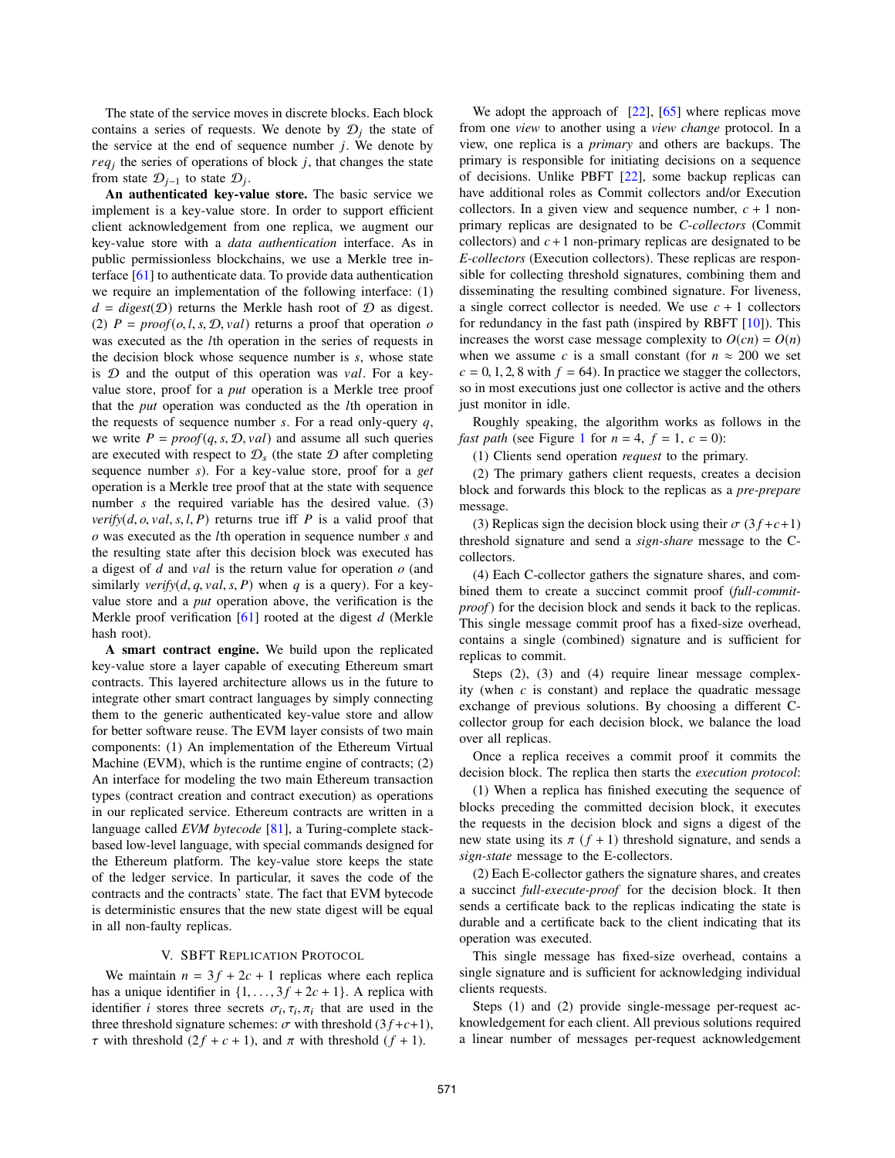The state of the service moves in discrete blocks. Each block contains a series of requests. We denote by  $\mathcal{D}_i$  the state of the service at the end of sequence number *j*. We denote by *req*<sup>j</sup> the series of operations of block *j*, that changes the state from state  $\mathcal{D}_{i-1}$  to state  $\mathcal{D}_i$ .

An authenticated key-value store. The basic service we implement is a key-value store. In order to support efficient client acknowledgement from one replica, we augment our key-value store with a *data authentication* interface. As in public permissionless blockchains, we use a Merkle tree interface [61] to authenticate data. To provide data authentication we require an implementation of the following interface: (1)  $d = \text{digest}(\mathcal{D})$  returns the Merkle hash root of  $\mathcal D$  as digest. (2)  $P = proof(o, l, s, D, val)$  returns a proof that operation *o* was executed as the *l*th operation in the series of requests in the decision block whose sequence number is *s*, whose state is D and the output of this operation was v*al*. For a keyvalue store, proof for a *put* operation is a Merkle tree proof that the *put* operation was conducted as the *l*th operation in the requests of sequence number *s*. For a read only-query *q*, we write  $P = proof(q, s, D, val)$  and assume all such queries are executed with respect to  $\mathcal{D}_s$  (the state  $\mathcal D$  after completing sequence number *s*). For a key-value store, proof for a *get* operation is a Merkle tree proof that at the state with sequence number *s* the required variable has the desired value. (3) *verify*( $d$ ,  $o$ ,  $val$ ,  $s$ ,  $l$ ,  $P$ ) returns true iff  $P$  is a valid proof that *o* was executed as the *l*th operation in sequence number *s* and the resulting state after this decision block was executed has a digest of *d* and v*al* is the return value for operation *o* (and similarly *verify*(*d*, *q*, *val*, *s*, *P*) when *q* is a query). For a keyvalue store and a *put* operation above, the verification is the Merkle proof verification [61] rooted at the digest *d* (Merkle hash root).

A smart contract engine. We build upon the replicated key-value store a layer capable of executing Ethereum smart contracts. This layered architecture allows us in the future to integrate other smart contract languages by simply connecting them to the generic authenticated key-value store and allow for better software reuse. The EVM layer consists of two main components: (1) An implementation of the Ethereum Virtual Machine (EVM), which is the runtime engine of contracts; (2) An interface for modeling the two main Ethereum transaction types (contract creation and contract execution) as operations in our replicated service. Ethereum contracts are written in a language called *EVM bytecode* [81], a Turing-complete stackbased low-level language, with special commands designed for the Ethereum platform. The key-value store keeps the state of the ledger service. In particular, it saves the code of the contracts and the contracts' state. The fact that EVM bytecode is deterministic ensures that the new state digest will be equal in all non-faulty replicas.

# V. SBFT REPLICATION PROTOCOL

We maintain  $n = 3f + 2c + 1$  replicas where each replica has a unique identifier in  $\{1, \ldots, 3f + 2c + 1\}$ . A replica with identifier *i* stores three secrets  $\sigma_i$ ,  $\tau_i$ ,  $\pi_i$  that are used in the three threshold signature schemes:  $\sigma$  with threshold (3*f* +*c*+1),  $\tau$  with threshold  $(2f + c + 1)$ , and  $\pi$  with threshold  $(f + 1)$ .

We adopt the approach of  $[22]$ ,  $[65]$  where replicas move from one *view* to another using a *view change* protocol. In a view, one replica is a *primary* and others are backups. The primary is responsible for initiating decisions on a sequence of decisions. Unlike PBFT [22], some backup replicas can have additional roles as Commit collectors and/or Execution collectors. In a given view and sequence number,  $c + 1$  nonprimary replicas are designated to be *C-collectors* (Commit collectors) and  $c+1$  non-primary replicas are designated to be *E-collectors* (Execution collectors). These replicas are responsible for collecting threshold signatures, combining them and disseminating the resulting combined signature. For liveness, a single correct collector is needed. We use  $c + 1$  collectors for redundancy in the fast path (inspired by RBFT  $[10]$ ). This increases the worst case message complexity to  $O(cn) = O(n)$ when we assume *c* is a small constant (for  $n \approx 200$  we set  $c = 0, 1, 2, 8$  with  $f = 64$ ). In practice we stagger the collectors, so in most executions just one collector is active and the others just monitor in idle.

Roughly speaking, the algorithm works as follows in the *fast path* (see Figure 1 for  $n = 4$ ,  $f = 1$ ,  $c = 0$ ):

(1) Clients send operation *request* to the primary.

(2) The primary gathers client requests, creates a decision block and forwards this block to the replicas as a *pre-prepare* message.

(3) Replicas sign the decision block using their  $\sigma$  (3 $f+c+1$ ) threshold signature and send a *sign-share* message to the Ccollectors.

(4) Each C-collector gathers the signature shares, and combined them to create a succinct commit proof (*full-commitproof*) for the decision block and sends it back to the replicas. This single message commit proof has a fixed-size overhead, contains a single (combined) signature and is sufficient for replicas to commit.

Steps (2), (3) and (4) require linear message complexity (when *c* is constant) and replace the quadratic message exchange of previous solutions. By choosing a different Ccollector group for each decision block, we balance the load over all replicas.

Once a replica receives a commit proof it commits the decision block. The replica then starts the *execution protocol*:

(1) When a replica has finished executing the sequence of blocks preceding the committed decision block, it executes the requests in the decision block and signs a digest of the new state using its  $\pi$  ( $f + 1$ ) threshold signature, and sends a *sign-state* message to the E-collectors.

(2) Each E-collector gathers the signature shares, and creates a succinct *full-execute-proof* for the decision block. It then sends a certificate back to the replicas indicating the state is durable and a certificate back to the client indicating that its operation was executed.

This single message has fixed-size overhead, contains a single signature and is sufficient for acknowledging individual clients requests.

Steps (1) and (2) provide single-message per-request acknowledgement for each client. All previous solutions required a linear number of messages per-request acknowledgement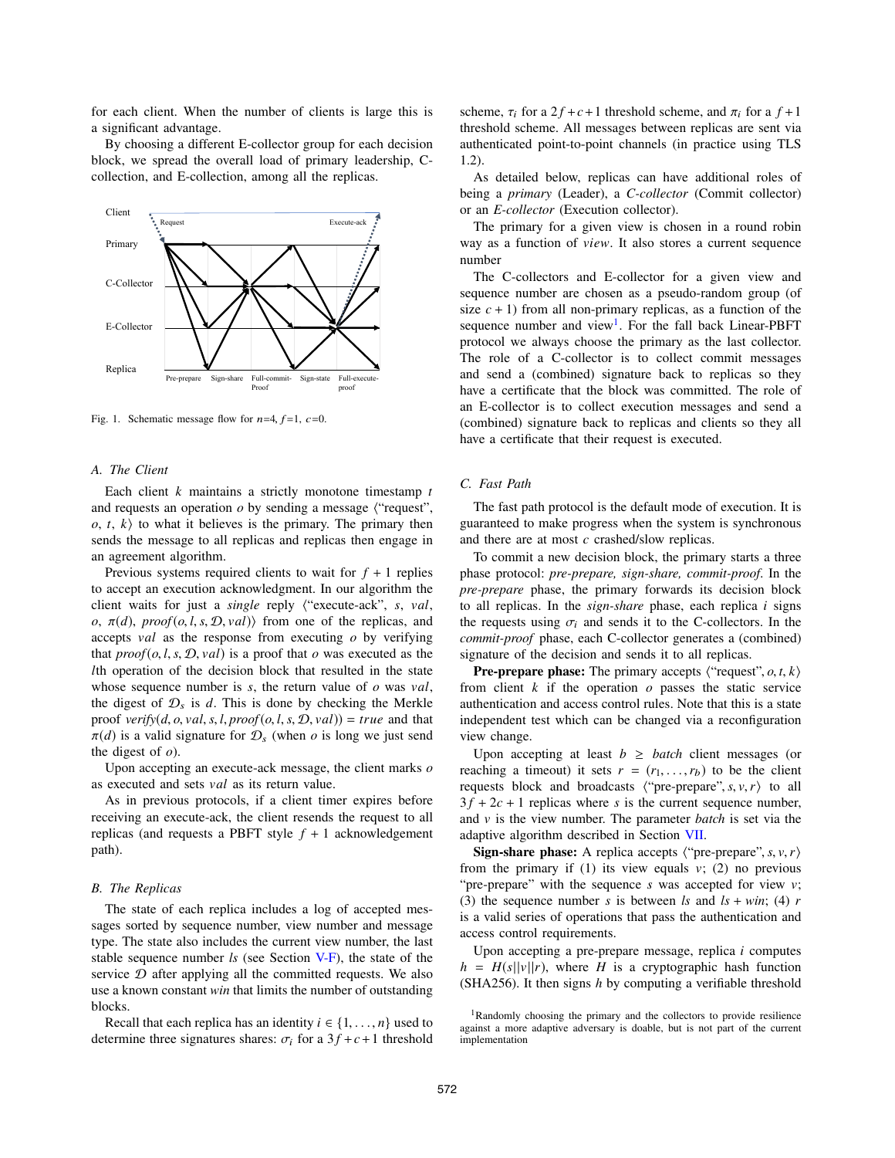for each client. When the number of clients is large this is a significant advantage.

By choosing a different E-collector group for each decision block, we spread the overall load of primary leadership, Ccollection, and E-collection, among all the replicas.



Fig. 1. Schematic message flow for  $n=4$ ,  $f=1$ ,  $c=0$ .

## *A. The Client*

Each client *k* maintains a strictly monotone timestamp *t* and requests an operation  $o$  by sending a message  $\langle$ "request",  $o, t, k$  to what it believes is the primary. The primary then sends the message to all replicas and replicas then engage in an agreement algorithm.

Previous systems required clients to wait for  $f + 1$  replies to accept an execution acknowledgment. In our algorithm the client waits for just a *single* reply ("execute-ack", *s*, *val*, *o*,  $\pi(d)$ , *proof*(*o*, *l*, *s*, *D*, *val*) from one of the replicas, and accepts v*al* as the response from executing *o* by verifying that  $\text{proof}(o, l, s, D, val)$  is a proof that  $o$  was executed as the *l*th operation of the decision block that resulted in the state whose sequence number is *s*, the return value of *o* was v*al*, the digest of  $\mathcal{D}_s$  is *d*. This is done by checking the Merkle proof *verify*(*d*, *o*, *val*, *s*, *l*, *proof*(*o*, *l*, *s*, *D*, *val*)) = *true* and that  $\pi(d)$  is a valid signature for  $\mathcal{D}_s$  (when *o* is long we just send the digest of *o*).

Upon accepting an execute-ack message, the client marks *o* as executed and sets v*al* as its return value.

As in previous protocols, if a client timer expires before receiving an execute-ack, the client resends the request to all replicas (and requests a PBFT style  $f + 1$  acknowledgement path).

#### *B. The Replicas*

The state of each replica includes a log of accepted messages sorted by sequence number, view number and message type. The state also includes the current view number, the last stable sequence number *ls* (see Section V-F), the state of the service  $D$  after applying all the committed requests. We also use a known constant *win* that limits the number of outstanding blocks.

Recall that each replica has an identity  $i \in \{1, \ldots, n\}$  used to determine three signatures shares:  $\sigma_i$  for a  $3f + c + 1$  threshold scheme,  $\tau_i$  for a  $2f + c + 1$  threshold scheme, and  $\pi_i$  for a  $f + 1$ threshold scheme. All messages between replicas are sent via authenticated point-to-point channels (in practice using TLS 1.2).

As detailed below, replicas can have additional roles of being a *primary* (Leader), a *C-collector* (Commit collector) or an *E-collector* (Execution collector).

The primary for a given view is chosen in a round robin way as a function of v*ie*w. It also stores a current sequence number

The C-collectors and E-collector for a given view and sequence number are chosen as a pseudo-random group (of size  $c + 1$ ) from all non-primary replicas, as a function of the sequence number and view<sup>1</sup>. For the fall back Linear-PBFT protocol we always choose the primary as the last collector. The role of a C-collector is to collect commit messages and send a (combined) signature back to replicas so they have a certificate that the block was committed. The role of an E-collector is to collect execution messages and send a (combined) signature back to replicas and clients so they all have a certificate that their request is executed.

# *C. Fast Path*

The fast path protocol is the default mode of execution. It is guaranteed to make progress when the system is synchronous and there are at most *c* crashed/slow replicas.

To commit a new decision block, the primary starts a three phase protocol: *pre-prepare, sign-share, commit-proof*. In the *pre-prepare* phase, the primary forwards its decision block to all replicas. In the *sign-share* phase, each replica *i* signs the requests using  $\sigma_i$  and sends it to the C-collectors. In the *commit-proof* phase, each C-collector generates a (combined) signature of the decision and sends it to all replicas.

**Pre-prepare phase:** The primary accepts  $\langle$ "request",  $o, t, k \rangle$ from client  $k$  if the operation  $o$  passes the static service authentication and access control rules. Note that this is a state independent test which can be changed via a reconfiguration view change.

Upon accepting at least  $b \geq batch$  client messages (or reaching a timeout) it sets  $r = (r_1, \ldots, r_b)$  to be the client requests block and broadcasts  $\langle$ "pre-prepare",  $s, v, r \rangle$  to all  $3f + 2c + 1$  replicas where *s* is the current sequence number, and v is the view number. The parameter *batch* is set via the adaptive algorithm described in Section VII.

**Sign-share phase:** A replica accepts  $\langle$ "pre-prepare", *s*, *v*, *r* $\rangle$ from the primary if  $(1)$  its view equals  $v$ ;  $(2)$  no previous "pre-prepare" with the sequence *s* was accepted for view *v*; (3) the sequence number *s* is between *ls* and  $ls + win$ ; (4) *r* is a valid series of operations that pass the authentication and access control requirements.

Upon accepting a pre-prepare message, replica *i* computes  $h = H(s||v||r)$ , where *H* is a cryptographic hash function (SHA256). It then signs *h* by computing a verifiable threshold

<sup>&</sup>lt;sup>1</sup>Randomly choosing the primary and the collectors to provide resilience against a more adaptive adversary is doable, but is not part of the current implementation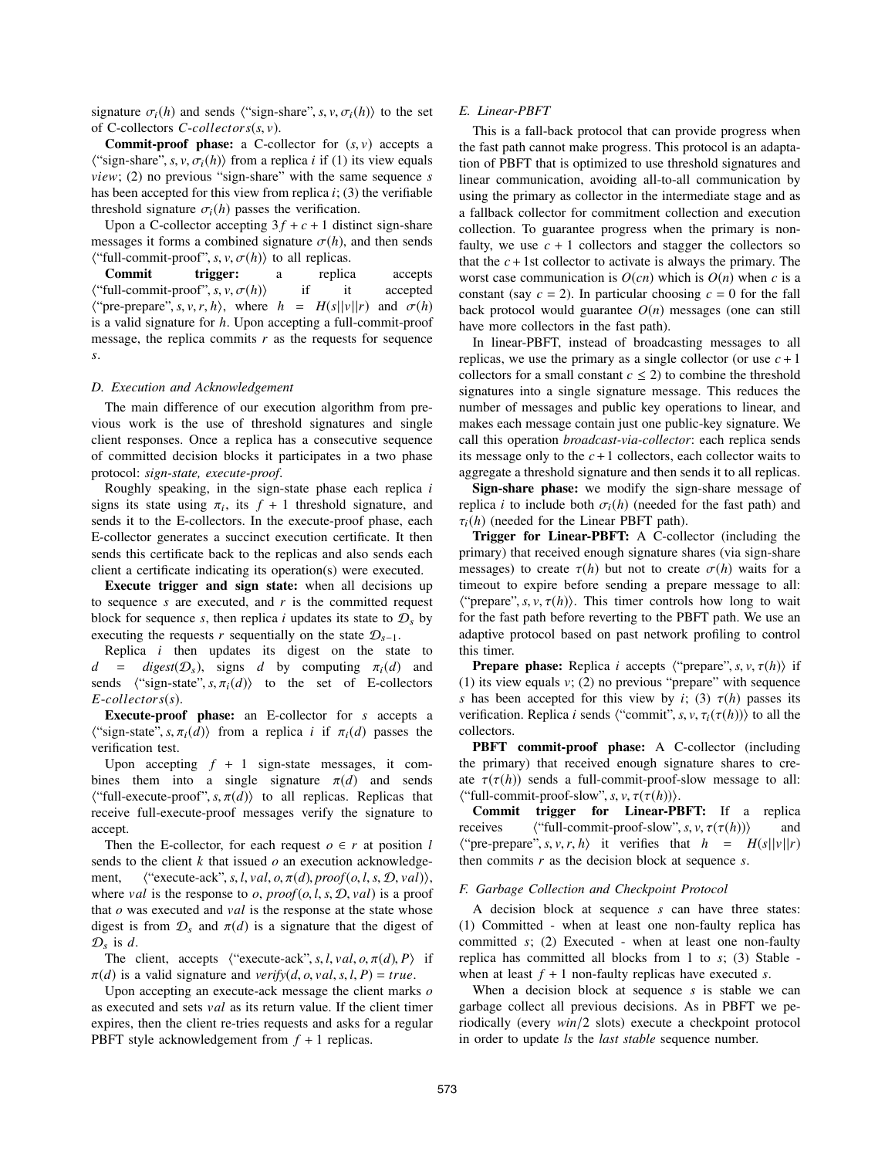signature  $\sigma_i(h)$  and sends ("sign-share", *s*, *v*,  $\sigma_i(h)$ ) to the set of C-collectors *C*-*collector s*(*s*, v).

**Commit-proof phase:** a C-collector for  $(s, v)$  accepts a "sign-share",  $s, v, \sigma_i(h)$  from a replica *i* if (1) its view equals v*ie*w; (2) no previous "sign-share" with the same sequence *s* has been accepted for this view from replica  $i$ ; (3) the verifiable threshold signature  $\sigma_i(h)$  passes the verification.

Upon a C-collector accepting  $3f + c + 1$  distinct sign-share messages it forms a combined signature  $\sigma(h)$ , and then sends "full-commit-proof", *s*, *v*,  $\sigma(h)$  to all replicas.

Commit trigger: a replica accepts "full-commit-proof",  $s, v, \sigma(h)$  if it accepted "pre-prepare", *s*, *v*, *r*, *h*), where  $h = H(s||v||r)$  and  $\sigma(h)$ is a valid signature for *h*. Upon accepting a full-commit-proof message, the replica commits *r* as the requests for sequence *s*.

## *D. Execution and Acknowledgement*

The main difference of our execution algorithm from previous work is the use of threshold signatures and single client responses. Once a replica has a consecutive sequence of committed decision blocks it participates in a two phase protocol: *sign-state, execute-proof*.

Roughly speaking, in the sign-state phase each replica *i* signs its state using  $\pi_i$ , its  $f + 1$  threshold signature, and sends it to the E-collectors. In the execute-proof phase, each E-collector generates a succinct execution certificate. It then sends this certificate back to the replicas and also sends each client a certificate indicating its operation(s) were executed.

Execute trigger and sign state: when all decisions up to sequence *s* are executed, and *r* is the committed request block for sequence *s*, then replica *i* updates its state to  $\mathcal{D}_s$  by executing the requests *r* sequentially on the state  $\mathcal{D}_{s-1}$ .

Replica *i* then updates its digest on the state to  $d = digest(\mathcal{D}_s)$ , signs *d* by computing  $\pi_i(d)$  and sends  $\langle$ "sign-state", *s*,  $\pi_i(d)$  to the set of E-collectors *E*-*collector s*(*s*).

Execute-proof phase: an E-collector for *s* accepts a "sign-state",  $s, \pi_i(d)$  from a replica *i* if  $\pi_i(d)$  passes the verification test.

Upon accepting  $f + 1$  sign-state messages, it combines them into a single signature  $\pi(d)$  and sends  $\langle$ "full-execute-proof", *s*,  $\pi(d)$  to all replicas. Replicas that receive full-execute-proof messages verify the signature to accept.

Then the E-collector, for each request  $o \in r$  at position *l* sends to the client *k* that issued *o* an execution acknowledgement,  $\langle$  "execute-ack", *s*, *l*, *val*, *o*,  $\pi(d)$ , *proof*(*o*, *l*, *s*, *D*, *val*)), where *val* is the response to *o*,  $\text{proof}(o, l, s, D, val)$  is a proof that *o* was executed and v*al* is the response at the state whose digest is from  $\mathcal{D}_s$  and  $\pi(d)$  is a signature that the digest of  $\mathcal{D}_s$  is d.

The client, accepts  $\langle$ "execute-ack", *s*, *l*, *val*, *o*,  $\pi(d)$ , *P* $\rangle$  if  $\pi(d)$  is a valid signature and *verify* $(d, o, val, s, l, P) = true$ .

Upon accepting an execute-ack message the client marks *o* as executed and sets v*al* as its return value. If the client timer expires, then the client re-tries requests and asks for a regular PBFT style acknowledgement from *f* + 1 replicas.

#### *E. Linear-PBFT*

This is a fall-back protocol that can provide progress when the fast path cannot make progress. This protocol is an adaptation of PBFT that is optimized to use threshold signatures and linear communication, avoiding all-to-all communication by using the primary as collector in the intermediate stage and as a fallback collector for commitment collection and execution collection. To guarantee progress when the primary is nonfaulty, we use  $c + 1$  collectors and stagger the collectors so that the  $c + 1$ st collector to activate is always the primary. The worst case communication is  $O(cn)$  which is  $O(n)$  when *c* is a constant (say  $c = 2$ ). In particular choosing  $c = 0$  for the fall back protocol would guarantee  $O(n)$  messages (one can still have more collectors in the fast path).

In linear-PBFT, instead of broadcasting messages to all replicas, we use the primary as a single collector (or use  $c + 1$ ) collectors for a small constant  $c \leq 2$ ) to combine the threshold signatures into a single signature message. This reduces the number of messages and public key operations to linear, and makes each message contain just one public-key signature. We call this operation *broadcast-via-collector*: each replica sends its message only to the  $c+1$  collectors, each collector waits to aggregate a threshold signature and then sends it to all replicas.

Sign-share phase: we modify the sign-share message of replica *i* to include both  $\sigma_i(h)$  (needed for the fast path) and  $\tau_i(h)$  (needed for the Linear PBFT path).

Trigger for Linear-PBFT: A C-collector (including the primary) that received enough signature shares (via sign-share messages) to create  $\tau(h)$  but not to create  $\sigma(h)$  waits for a timeout to expire before sending a prepare message to all: "prepare", *s*, *v*,  $\tau(h)$ ). This timer controls how long to wait for the fast path before reverting to the PBFT path. We use an adaptive protocol based on past network profiling to control this timer.

**Prepare phase:** Replica *i* accepts  $\langle$ "prepare", *s*,  $v$ ,  $\tau(h)$  if (1) its view equals  $v$ ; (2) no previous "prepare" with sequence *s* has been accepted for this view by *i*; (3)  $\tau(h)$  passes its verification. Replica *i* sends ("commit",  $s, v, \tau_i(\tau(h))$  to all the collectors.

PBFT commit-proof phase: A C-collector (including the primary) that received enough signature shares to create  $\tau(\tau(h))$  sends a full-commit-proof-slow message to all:  $\langle$ "full-commit-proof-slow", *s*, *v*,  $\tau(\tau(h))$ ).

Commit trigger for Linear-PBFT: If a replica receives ("full-commit-proof-slow",  $s, v, \tau(\tau(h))$ ) and "pre-prepare", *s*, *v*, *r*, *h*) it verifies that  $h = H(s||v||r)$ then commits *r* as the decision block at sequence *s*.

## *F. Garbage Collection and Checkpoint Protocol*

A decision block at sequence *s* can have three states: (1) Committed - when at least one non-faulty replica has committed *s*; (2) Executed - when at least one non-faulty replica has committed all blocks from 1 to *s*; (3) Stable when at least  $f + 1$  non-faulty replicas have executed *s*.

When a decision block at sequence *s* is stable we can garbage collect all previous decisions. As in PBFT we periodically (every *win*/2 slots) execute a checkpoint protocol in order to update *ls* the *last stable* sequence number.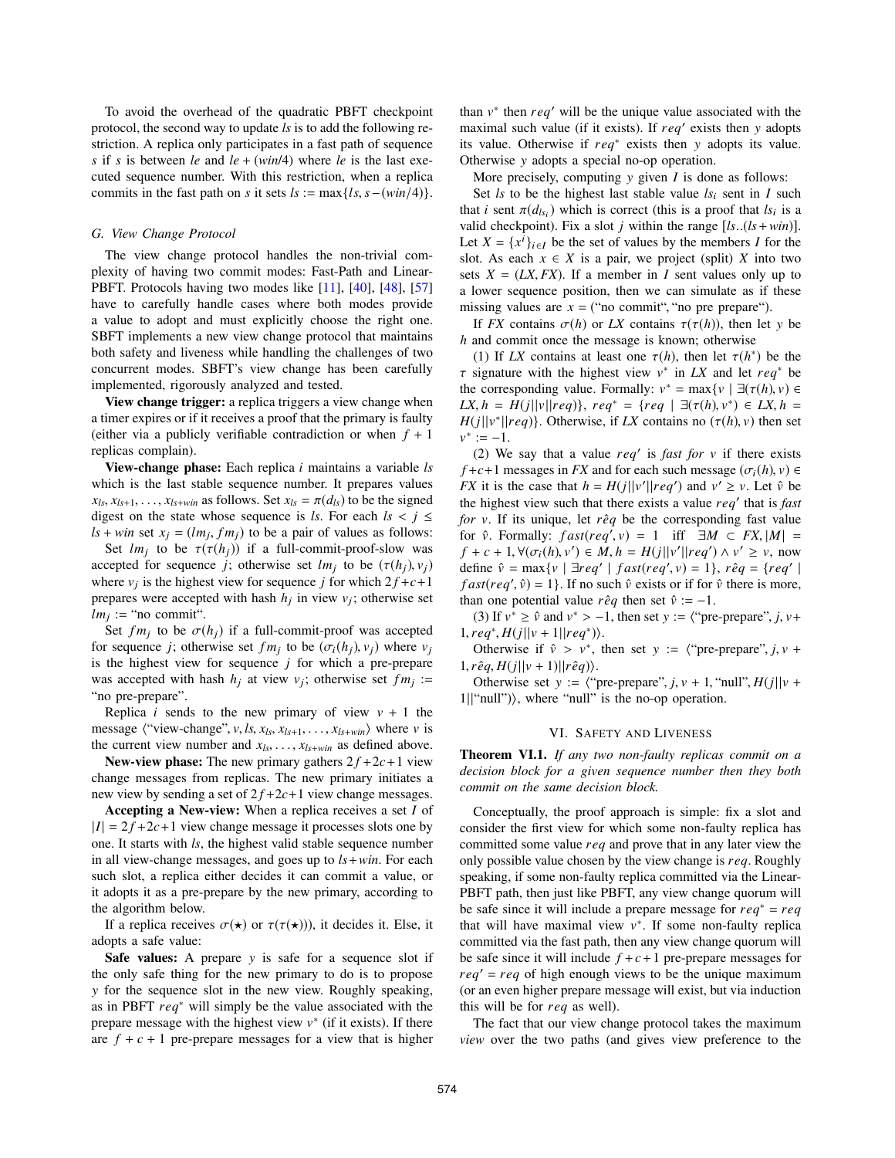To avoid the overhead of the quadratic PBFT checkpoint protocol, the second way to update *ls* is to add the following restriction. A replica only participates in a fast path of sequence *s* if *s* is between *le* and  $le + (win/4)$  where *le* is the last executed sequence number. With this restriction, when a replica commits in the fast path on *s* it sets  $ls := max\{ls, s - (win/4)\}.$ 

## *G. View Change Protocol*

The view change protocol handles the non-trivial complexity of having two commit modes: Fast-Path and Linear-PBFT. Protocols having two modes like [11], [40], [48], [57] have to carefully handle cases where both modes provide a value to adopt and must explicitly choose the right one. SBFT implements a new view change protocol that maintains both safety and liveness while handling the challenges of two concurrent modes. SBFT's view change has been carefully implemented, rigorously analyzed and tested.

View change trigger: a replica triggers a view change when a timer expires or if it receives a proof that the primary is faulty (either via a publicly verifiable contradiction or when  $f + 1$ replicas complain).

View-change phase: Each replica *i* maintains a variable *ls* which is the last stable sequence number. It prepares values  $x_{ls}, x_{ls+1}, \ldots, x_{ls+win}$  as follows. Set  $x_{ls} = \pi(d_{ls})$  to be the signed digest on the state whose sequence is *ls*. For each  $ls < j \leq$  $ls + win$  set  $x_i = (lm_i, fm_i)$  to be a pair of values as follows:

Set  $lm_i$  to be  $\tau(\tau(h_i))$  if a full-commit-proof-slow was accepted for sequence *j*; otherwise set  $lm_i$  to be  $(\tau(h_i), v_i)$ where  $v_i$  is the highest view for sequence *j* for which  $2f + c + 1$ prepares were accepted with hash  $h_i$  in view  $v_i$ ; otherwise set  $lm_i := "no commit"$ .

Set  $fm_i$  to be  $\sigma(h_i)$  if a full-commit-proof was accepted for sequence *j*; otherwise set  $fm_i$  to be  $(\sigma_i(h_i), v_i)$  where  $v_i$ is the highest view for sequence *j* for which a pre-prepare was accepted with hash  $h_i$  at view  $v_i$ ; otherwise set  $fm_i$  := "no pre-prepare".

Replica *i* sends to the new primary of view  $v + 1$  the message  $\langle$  "view-change", v, *ls*,  $x_{ls}$ ,  $x_{ls+1}$ , ...,  $x_{ls+win}$  where v is the current view number and  $x_{ls}, \ldots, x_{ls+win}$  as defined above.

New-view phase: The new primary gathers  $2f + 2c + 1$  view change messages from replicas. The new primary initiates a new view by sending a set of  $2f+2c+1$  view change messages.

Accepting a New-view: When a replica receives a set *I* of  $|I| = 2f + 2c + 1$  view change message it processes slots one by one. It starts with *ls*, the highest valid stable sequence number in all view-change messages, and goes up to *ls*+*win*. For each such slot, a replica either decides it can commit a value, or it adopts it as a pre-prepare by the new primary, according to the algorithm below.

If a replica receives  $\sigma(\star)$  or  $\tau(\tau(\star))$ , it decides it. Else, it adopts a safe value:

Safe values: A prepare y is safe for a sequence slot if the only safe thing for the new primary to do is to propose y for the sequence slot in the new view. Roughly speaking, as in PBFT *req*<sup>∗</sup> will simply be the value associated with the prepare message with the highest view  $v^*$  (if it exists). If there are  $f + c + 1$  pre-prepare messages for a view that is higher than  $v^*$  then  $req'$  will be the unique value associated with the maximal such value (if it exists). If  $req'$  exists then y adopts its value. Otherwise if *req*<sup>∗</sup> exists then y adopts its value. Otherwise y adopts a special no-op operation.

More precisely, computing y given *I* is done as follows:

Set  $ls$  to be the highest last stable value  $ls<sub>i</sub>$  sent in  $I$  such that *i* sent  $\pi(d_{ls_i})$  which is correct (this is a proof that  $ls_i$  is a valid checkpoint). Fix a slot *j* within the range  $[ls..(ls+win)]$ . Let  $X = \{x^i\}_{i \in I}$  be the set of values by the members *I* for the slot. As each  $x \in X$  is a pair, we project (split) *X* into two sets  $X = (LX, FX)$ . If a member in *I* sent values only up to a lower sequence position, then we can simulate as if these missing values are  $x =$  ("no commit", "no pre prepare").

If *FX* contains  $\sigma(h)$  or *LX* contains  $\tau(\tau(h))$ , then let y be *h* and commit once the message is known; otherwise

(1) If *LX* contains at least one  $\tau(h)$ , then let  $\tau(h^*)$  be the τ signature with the highest view v<sup>∗</sup> in *LX* and let *req*<sup>∗</sup> be the corresponding value. Formally:  $v^* = \max\{v \mid \exists (\tau(h), v) \in$ *LX*, *<sup>h</sup>* <sup>=</sup> *<sup>H</sup>*(*j*||v||*req*)}, *req*<sup>∗</sup> <sup>=</sup> {*req* <sup>|</sup> <sup>∃</sup>(τ(*h*), <sup>v</sup>∗) ∈ *LX*, *<sup>h</sup>* <sup>=</sup>  $H(j||v^*||req)$ . Otherwise, if *LX* contains no  $(\tau(h), v)$  then set  $v^* := -1.$ 

(2) We say that a value  $req'$  is *fast for*  $v$  if there exists  $f+c+1$  messages in *FX* and for each such message ( $\sigma_i(h), v$ ) ∈ *FX* it is the case that  $h = H(j||v'||req')$  and  $v' \ge v$ . Let  $\hat{v}$  be the highest view such that there exists a value *req* that is *fast for* v. If its unique, let  $r \hat{e}q$  be the corresponding fast value for  $\hat{v}$ . Formally:  $fast(req', v) = 1$  iff  $\exists M \subset FX, |M| =$  $f + c + 1$ ,  $\forall (\sigma_i(h), v') \in M$ ,  $h = H(j||v'||req') \land v' \ge v$ , now define  $\hat{v} = \max\{v \mid \exists \text{req'} \mid \text{fast}(\text{req'}, v) = 1\}, \text{req'} = \{ \text{req'} \mid \text{req'} \}$  $fast(\text{req}', \hat{v}) = 1$ . If no such  $\hat{v}$  exists or if for  $\hat{v}$  there is more, than one potential value  $r \hat{e}q$  then set  $\hat{v} := -1$ .

(3) If  $v^* \ge \hat{v}$  and  $v^* > -1$ , then set  $y := \langle$  "pre-prepare", *j*,  $v$ +  $1, \text{req}^*, H(j||v + 1||\text{req}^*)$ .

Otherwise if  $\hat{v} > v^*$ , then set  $y := \langle$  "pre-prepare",  $j, v$  +  $1, \hat{reg}, H(j||v+1)||\hat{reg}),$ 

Otherwise set  $y := \langle$ "pre-prepare",  $j, v + 1$ , "null",  $H(j||v +$ 1||"null"), where "null" is the no-op operation.

#### VI. SAFETY AND LIVENESS

Theorem VI.1. *If any two non-faulty replicas commit on a decision block for a given sequence number then they both commit on the same decision block.*

Conceptually, the proof approach is simple: fix a slot and consider the first view for which some non-faulty replica has committed some value *req* and prove that in any later view the only possible value chosen by the view change is *req*. Roughly speaking, if some non-faulty replica committed via the Linear-PBFT path, then just like PBFT, any view change quorum will be safe since it will include a prepare message for *req*<sup>∗</sup> = *req* that will have maximal view  $v^*$ . If some non-faulty replica committed via the fast path, then any view change quorum will be safe since it will include  $f + c + 1$  pre-prepare messages for  $req' = req$  of high enough views to be the unique maximum (or an even higher prepare message will exist, but via induction this will be for *req* as well).

The fact that our view change protocol takes the maximum *view* over the two paths (and gives view preference to the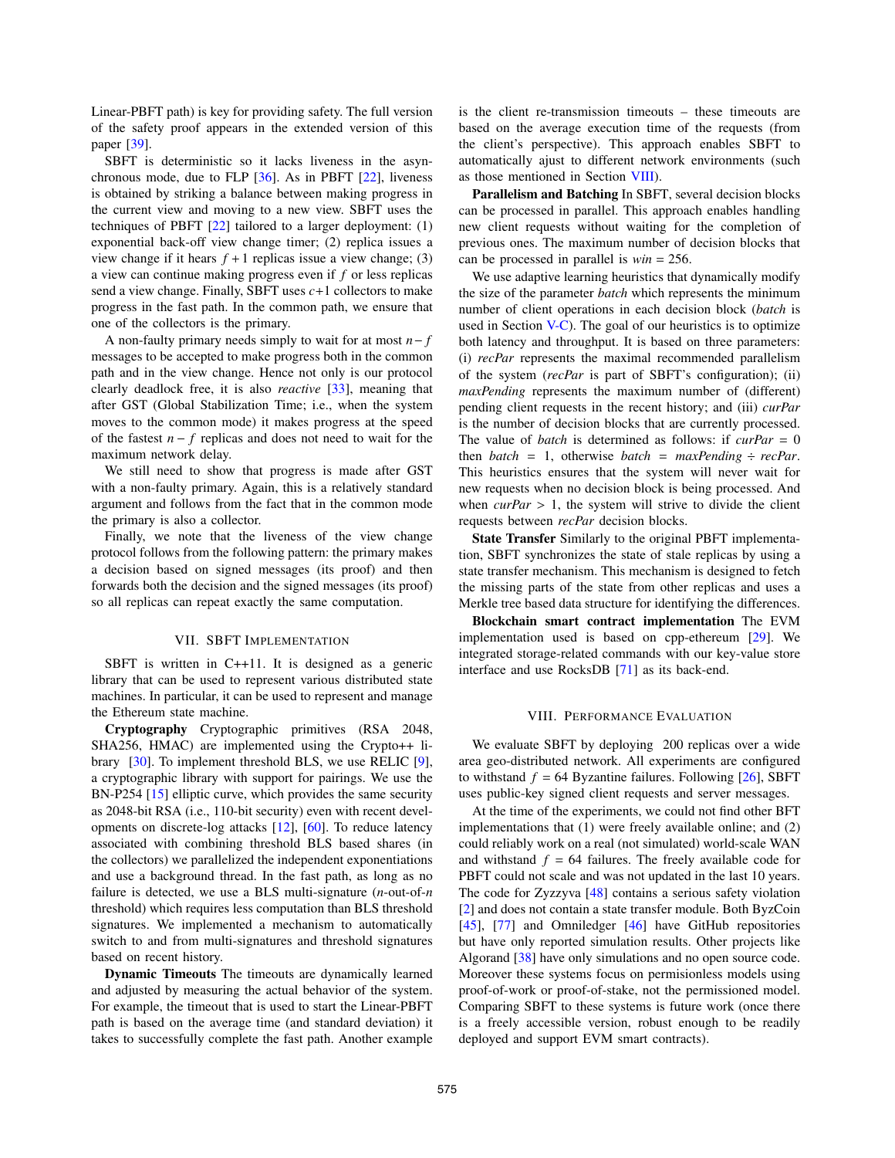Linear-PBFT path) is key for providing safety. The full version of the safety proof appears in the extended version of this paper [39].

SBFT is deterministic so it lacks liveness in the asynchronous mode, due to FLP [36]. As in PBFT [22], liveness is obtained by striking a balance between making progress in the current view and moving to a new view. SBFT uses the techniques of PBFT [22] tailored to a larger deployment: (1) exponential back-off view change timer; (2) replica issues a view change if it hears  $f + 1$  replicas issue a view change; (3) a view can continue making progress even if *f* or less replicas send a view change. Finally, SBFT uses *c*+1 collectors to make progress in the fast path. In the common path, we ensure that one of the collectors is the primary.

A non-faulty primary needs simply to wait for at most *n*− *f* messages to be accepted to make progress both in the common path and in the view change. Hence not only is our protocol clearly deadlock free, it is also *reactive* [33], meaning that after GST (Global Stabilization Time; i.e., when the system moves to the common mode) it makes progress at the speed of the fastest *n* − *f* replicas and does not need to wait for the maximum network delay.

We still need to show that progress is made after GST with a non-faulty primary. Again, this is a relatively standard argument and follows from the fact that in the common mode the primary is also a collector.

Finally, we note that the liveness of the view change protocol follows from the following pattern: the primary makes a decision based on signed messages (its proof) and then forwards both the decision and the signed messages (its proof) so all replicas can repeat exactly the same computation.

#### VII. SBFT IMPLEMENTATION

SBFT is written in C++11. It is designed as a generic library that can be used to represent various distributed state machines. In particular, it can be used to represent and manage the Ethereum state machine.

Cryptography Cryptographic primitives (RSA 2048, SHA256, HMAC) are implemented using the Crypto++ library [30]. To implement threshold BLS, we use RELIC [9], a cryptographic library with support for pairings. We use the BN-P254 [15] elliptic curve, which provides the same security as 2048-bit RSA (i.e., 110-bit security) even with recent developments on discrete-log attacks [12], [60]. To reduce latency associated with combining threshold BLS based shares (in the collectors) we parallelized the independent exponentiations and use a background thread. In the fast path, as long as no failure is detected, we use a BLS multi-signature (*n*-out-of-*n* threshold) which requires less computation than BLS threshold signatures. We implemented a mechanism to automatically switch to and from multi-signatures and threshold signatures based on recent history.

Dynamic Timeouts The timeouts are dynamically learned and adjusted by measuring the actual behavior of the system. For example, the timeout that is used to start the Linear-PBFT path is based on the average time (and standard deviation) it takes to successfully complete the fast path. Another example

is the client re-transmission timeouts – these timeouts are based on the average execution time of the requests (from the client's perspective). This approach enables SBFT to automatically ajust to different network environments (such as those mentioned in Section VIII).

Parallelism and Batching In SBFT, several decision blocks can be processed in parallel. This approach enables handling new client requests without waiting for the completion of previous ones. The maximum number of decision blocks that can be processed in parallel is *win* = 256.

We use adaptive learning heuristics that dynamically modify the size of the parameter *batch* which represents the minimum number of client operations in each decision block (*batch* is used in Section V-C). The goal of our heuristics is to optimize both latency and throughput. It is based on three parameters: (i) *recPar* represents the maximal recommended parallelism of the system (*recPar* is part of SBFT's configuration); (ii) *maxPending* represents the maximum number of (different) pending client requests in the recent history; and (iii) *curPar* is the number of decision blocks that are currently processed. The value of *batch* is determined as follows: if *curPar* = 0 then *batch* = 1, otherwise *batch* =  $maxPending \div recPar$ . This heuristics ensures that the system will never wait for new requests when no decision block is being processed. And when  $\textit{curl}$  ar > 1, the system will strive to divide the client requests between *recPar* decision blocks.

State Transfer Similarly to the original PBFT implementation, SBFT synchronizes the state of stale replicas by using a state transfer mechanism. This mechanism is designed to fetch the missing parts of the state from other replicas and uses a Merkle tree based data structure for identifying the differences.

Blockchain smart contract implementation The EVM implementation used is based on cpp-ethereum [29]. We integrated storage-related commands with our key-value store interface and use RocksDB [71] as its back-end.

# VIII. PERFORMANCE EVALUATION

We evaluate SBFT by deploying 200 replicas over a wide area geo-distributed network. All experiments are configured to withstand  $f = 64$  Byzantine failures. Following  $[26]$ , SBFT uses public-key signed client requests and server messages.

At the time of the experiments, we could not find other BFT implementations that (1) were freely available online; and (2) could reliably work on a real (not simulated) world-scale WAN and withstand  $f = 64$  failures. The freely available code for PBFT could not scale and was not updated in the last 10 years. The code for Zyzzyva [48] contains a serious safety violation [2] and does not contain a state transfer module. Both ByzCoin [45], [77] and Omniledger [46] have GitHub repositories but have only reported simulation results. Other projects like Algorand [38] have only simulations and no open source code. Moreover these systems focus on permisionless models using proof-of-work or proof-of-stake, not the permissioned model. Comparing SBFT to these systems is future work (once there is a freely accessible version, robust enough to be readily deployed and support EVM smart contracts).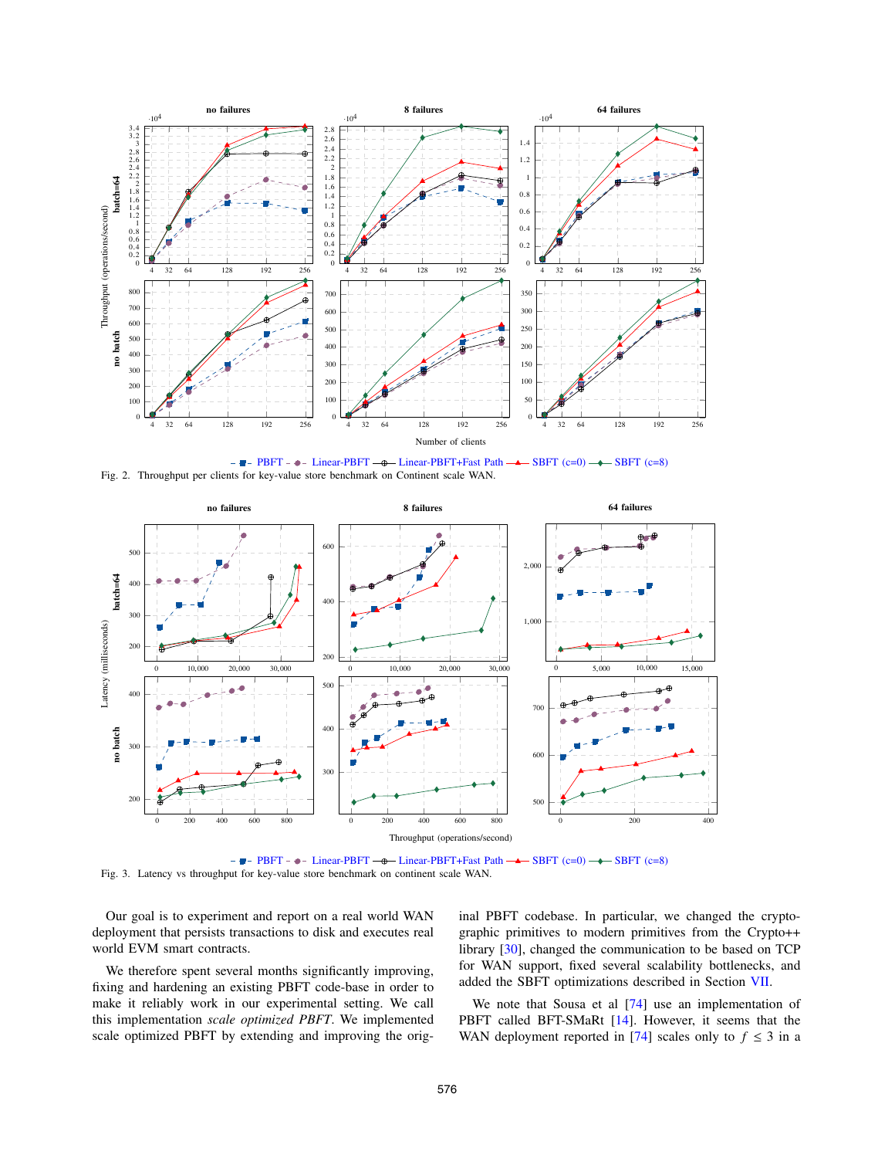

-  $\blacksquare$  - PBFT -  $\lozenge$  - Linear-PBFT  $\rightarrow$  - Linear-PBFT+Fast Path  $\rightarrow$  SBFT (c=0)  $\rightarrow$  SBFT (c=8) Fig. 2. Throughput per clients for key-value store benchmark on Continent scale WAN.



-  $\blacksquare$ - PBFT -  $\lozenge$ - Linear-PBFT  $-\spadesuit$ - Linear-PBFT+Fast Path  $\rightarrow$  SBFT (c=0)  $\rightarrow$  SBFT (c=8) Fig. 3. Latency vs throughput for key-value store benchmark on continent scale WAN.

Our goal is to experiment and report on a real world WAN deployment that persists transactions to disk and executes real world EVM smart contracts.

We therefore spent several months significantly improving, fixing and hardening an existing PBFT code-base in order to make it reliably work in our experimental setting. We call this implementation *scale optimized PBFT*. We implemented scale optimized PBFT by extending and improving the orig-

inal PBFT codebase. In particular, we changed the cryptographic primitives to modern primitives from the Crypto++ library [30], changed the communication to be based on TCP for WAN support, fixed several scalability bottlenecks, and added the SBFT optimizations described in Section VII.

We note that Sousa et al  $[74]$  use an implementation of PBFT called BFT-SMaRt [14]. However, it seems that the WAN deployment reported in [74] scales only to  $f \leq 3$  in a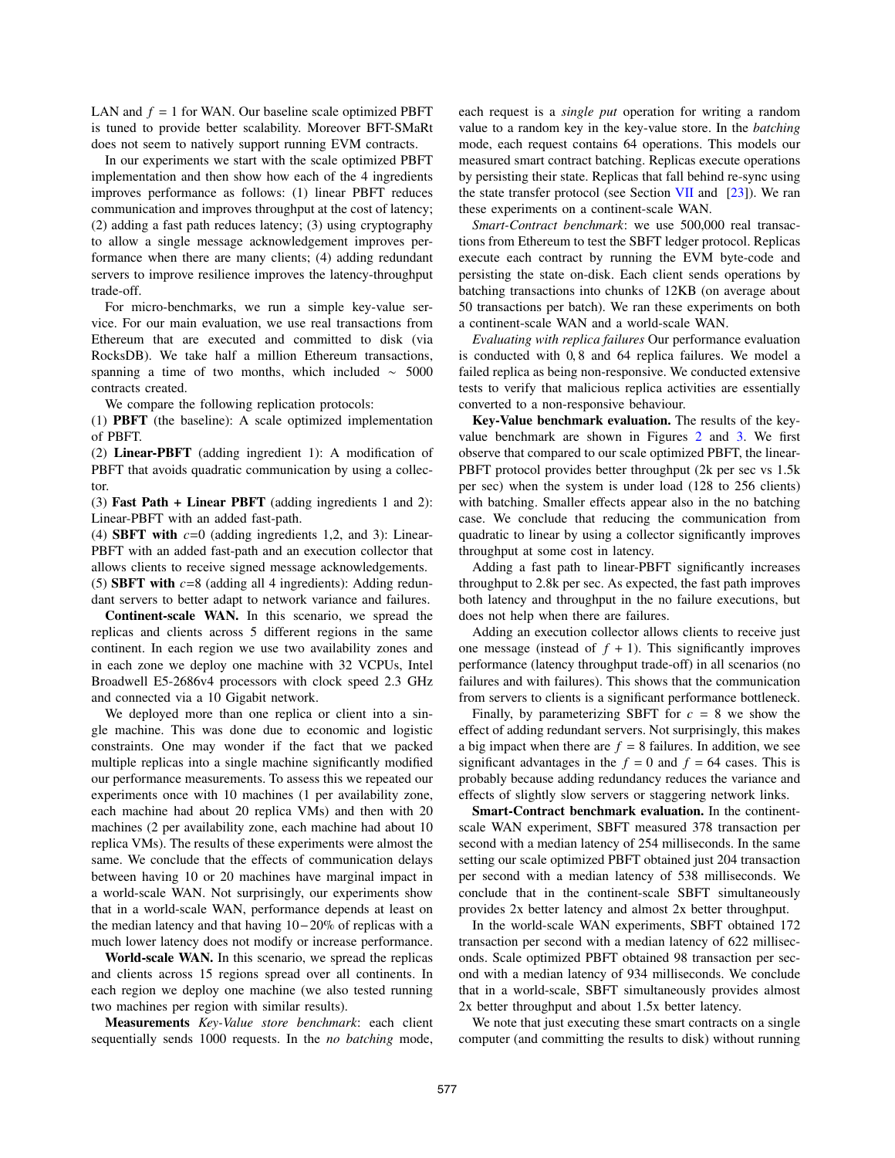LAN and  $f = 1$  for WAN. Our baseline scale optimized PBFT is tuned to provide better scalability. Moreover BFT-SMaRt does not seem to natively support running EVM contracts.

In our experiments we start with the scale optimized PBFT implementation and then show how each of the 4 ingredients improves performance as follows: (1) linear PBFT reduces communication and improves throughput at the cost of latency; (2) adding a fast path reduces latency; (3) using cryptography to allow a single message acknowledgement improves performance when there are many clients; (4) adding redundant servers to improve resilience improves the latency-throughput trade-off.

For micro-benchmarks, we run a simple key-value service. For our main evaluation, we use real transactions from Ethereum that are executed and committed to disk (via RocksDB). We take half a million Ethereum transactions, spanning a time of two months, which included ∼ 5000 contracts created.

We compare the following replication protocols:

(1) PBFT (the baseline): A scale optimized implementation of PBFT.

(2) Linear-PBFT (adding ingredient 1): A modification of PBFT that avoids quadratic communication by using a collector.

(3) Fast Path + Linear PBFT (adding ingredients 1 and 2): Linear-PBFT with an added fast-path.

(4) SBFT with *c*=0 (adding ingredients 1,2, and 3): Linear-PBFT with an added fast-path and an execution collector that allows clients to receive signed message acknowledgements. (5) SBFT with *c*=8 (adding all 4 ingredients): Adding redun-

dant servers to better adapt to network variance and failures.

Continent-scale WAN. In this scenario, we spread the replicas and clients across 5 different regions in the same continent. In each region we use two availability zones and in each zone we deploy one machine with 32 VCPUs, Intel Broadwell E5-2686v4 processors with clock speed 2.3 GHz and connected via a 10 Gigabit network.

We deployed more than one replica or client into a single machine. This was done due to economic and logistic constraints. One may wonder if the fact that we packed multiple replicas into a single machine significantly modified our performance measurements. To assess this we repeated our experiments once with 10 machines (1 per availability zone, each machine had about 20 replica VMs) and then with 20 machines (2 per availability zone, each machine had about 10 replica VMs). The results of these experiments were almost the same. We conclude that the effects of communication delays between having 10 or 20 machines have marginal impact in a world-scale WAN. Not surprisingly, our experiments show that in a world-scale WAN, performance depends at least on the median latency and that having 10−20% of replicas with a much lower latency does not modify or increase performance.

World-scale WAN. In this scenario, we spread the replicas and clients across 15 regions spread over all continents. In each region we deploy one machine (we also tested running two machines per region with similar results).

Measurements *Key-Value store benchmark*: each client sequentially sends 1000 requests. In the *no batching* mode, each request is a *single put* operation for writing a random value to a random key in the key-value store. In the *batching* mode, each request contains 64 operations. This models our measured smart contract batching. Replicas execute operations by persisting their state. Replicas that fall behind re-sync using the state transfer protocol (see Section  $VII$  and [23]). We ran these experiments on a continent-scale WAN.

*Smart-Contract benchmark*: we use 500,000 real transactions from Ethereum to test the SBFT ledger protocol. Replicas execute each contract by running the EVM byte-code and persisting the state on-disk. Each client sends operations by batching transactions into chunks of 12KB (on average about 50 transactions per batch). We ran these experiments on both a continent-scale WAN and a world-scale WAN.

*Evaluating with replica failures* Our performance evaluation is conducted with 0, 8 and 64 replica failures. We model a failed replica as being non-responsive. We conducted extensive tests to verify that malicious replica activities are essentially converted to a non-responsive behaviour.

Key-Value benchmark evaluation. The results of the keyvalue benchmark are shown in Figures 2 and 3. We first observe that compared to our scale optimized PBFT, the linear-PBFT protocol provides better throughput (2k per sec vs 1.5k per sec) when the system is under load (128 to 256 clients) with batching. Smaller effects appear also in the no batching case. We conclude that reducing the communication from quadratic to linear by using a collector significantly improves throughput at some cost in latency.

Adding a fast path to linear-PBFT significantly increases throughput to 2.8k per sec. As expected, the fast path improves both latency and throughput in the no failure executions, but does not help when there are failures.

Adding an execution collector allows clients to receive just one message (instead of  $f + 1$ ). This significantly improves performance (latency throughput trade-off) in all scenarios (no failures and with failures). This shows that the communication from servers to clients is a significant performance bottleneck.

Finally, by parameterizing SBFT for  $c = 8$  we show the effect of adding redundant servers. Not surprisingly, this makes a big impact when there are  $f = 8$  failures. In addition, we see significant advantages in the  $f = 0$  and  $f = 64$  cases. This is probably because adding redundancy reduces the variance and effects of slightly slow servers or staggering network links.

Smart-Contract benchmark evaluation. In the continentscale WAN experiment, SBFT measured 378 transaction per second with a median latency of 254 milliseconds. In the same setting our scale optimized PBFT obtained just 204 transaction per second with a median latency of 538 milliseconds. We conclude that in the continent-scale SBFT simultaneously provides 2x better latency and almost 2x better throughput.

In the world-scale WAN experiments, SBFT obtained 172 transaction per second with a median latency of 622 milliseconds. Scale optimized PBFT obtained 98 transaction per second with a median latency of 934 milliseconds. We conclude that in a world-scale, SBFT simultaneously provides almost 2x better throughput and about 1.5x better latency.

We note that just executing these smart contracts on a single computer (and committing the results to disk) without running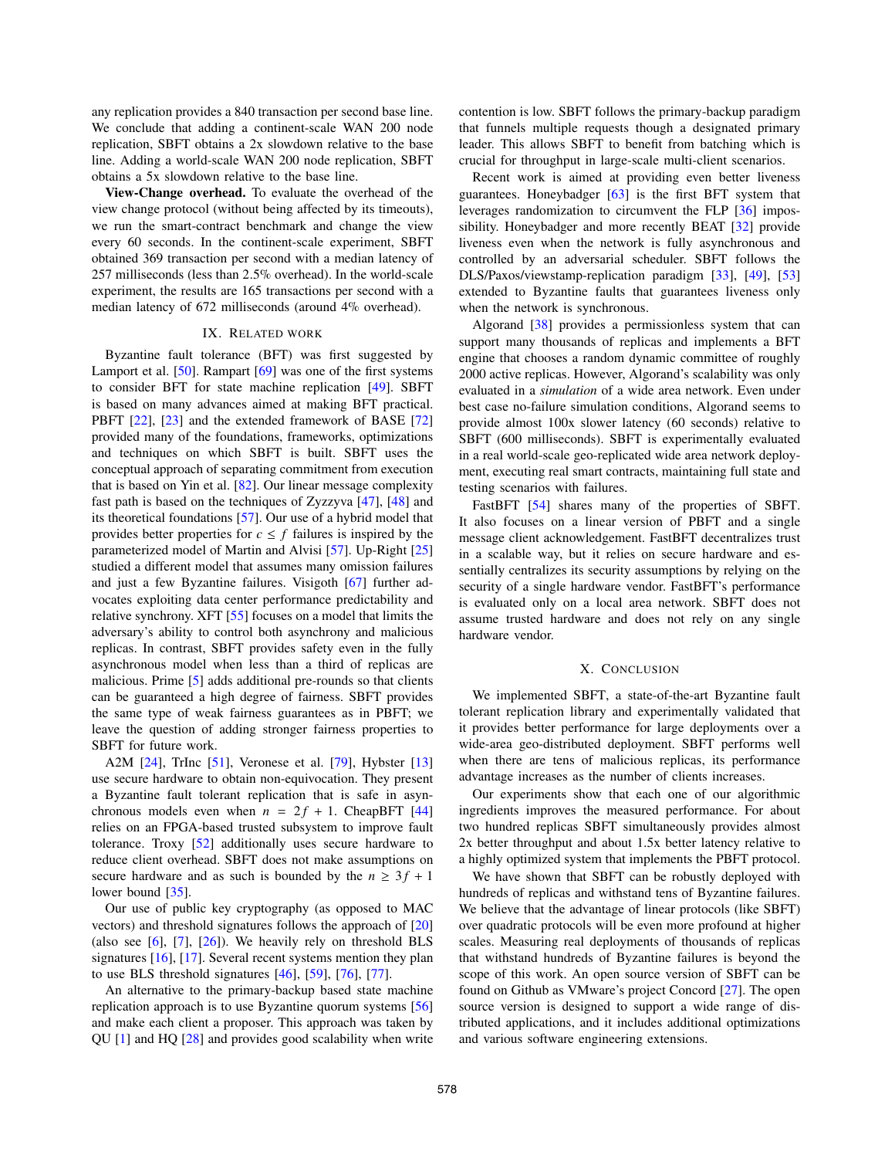any replication provides a 840 transaction per second base line. We conclude that adding a continent-scale WAN 200 node replication, SBFT obtains a 2x slowdown relative to the base line. Adding a world-scale WAN 200 node replication, SBFT obtains a 5x slowdown relative to the base line.

View-Change overhead. To evaluate the overhead of the view change protocol (without being affected by its timeouts), we run the smart-contract benchmark and change the view every 60 seconds. In the continent-scale experiment, SBFT obtained 369 transaction per second with a median latency of 257 milliseconds (less than 2.5% overhead). In the world-scale experiment, the results are 165 transactions per second with a median latency of 672 milliseconds (around 4% overhead).

#### IX. RELATED WORK

Byzantine fault tolerance (BFT) was first suggested by Lamport et al. [50]. Rampart [69] was one of the first systems to consider BFT for state machine replication [49]. SBFT is based on many advances aimed at making BFT practical. PBFT [22], [23] and the extended framework of BASE [72] provided many of the foundations, frameworks, optimizations and techniques on which SBFT is built. SBFT uses the conceptual approach of separating commitment from execution that is based on Yin et al. [82]. Our linear message complexity fast path is based on the techniques of Zyzzyva [47], [48] and its theoretical foundations [57]. Our use of a hybrid model that provides better properties for  $c \leq f$  failures is inspired by the parameterized model of Martin and Alvisi [57]. Up-Right [25] studied a different model that assumes many omission failures and just a few Byzantine failures. Visigoth [67] further advocates exploiting data center performance predictability and relative synchrony. XFT [55] focuses on a model that limits the adversary's ability to control both asynchrony and malicious replicas. In contrast, SBFT provides safety even in the fully asynchronous model when less than a third of replicas are malicious. Prime [5] adds additional pre-rounds so that clients can be guaranteed a high degree of fairness. SBFT provides the same type of weak fairness guarantees as in PBFT; we leave the question of adding stronger fairness properties to SBFT for future work.

A2M [24], TrInc [51], Veronese et al. [79], Hybster [13] use secure hardware to obtain non-equivocation. They present a Byzantine fault tolerant replication that is safe in asynchronous models even when  $n = 2f + 1$ . CheapBFT [44] relies on an FPGA-based trusted subsystem to improve fault tolerance. Troxy [52] additionally uses secure hardware to reduce client overhead. SBFT does not make assumptions on secure hardware and as such is bounded by the  $n \geq 3f + 1$ lower bound [35].

Our use of public key cryptography (as opposed to MAC vectors) and threshold signatures follows the approach of [20] (also see  $[6]$ ,  $[7]$ ,  $[26]$ ). We heavily rely on threshold BLS signatures [16], [17]. Several recent systems mention they plan to use BLS threshold signatures  $[46]$ ,  $[59]$ ,  $[76]$ ,  $[77]$ .

An alternative to the primary-backup based state machine replication approach is to use Byzantine quorum systems [56] and make each client a proposer. This approach was taken by QU [1] and HQ [28] and provides good scalability when write contention is low. SBFT follows the primary-backup paradigm that funnels multiple requests though a designated primary leader. This allows SBFT to benefit from batching which is crucial for throughput in large-scale multi-client scenarios.

Recent work is aimed at providing even better liveness guarantees. Honeybadger [63] is the first BFT system that leverages randomization to circumvent the FLP [36] impossibility. Honeybadger and more recently BEAT [32] provide liveness even when the network is fully asynchronous and controlled by an adversarial scheduler. SBFT follows the DLS/Paxos/viewstamp-replication paradigm [33], [49], [53] extended to Byzantine faults that guarantees liveness only when the network is synchronous.

Algorand [38] provides a permissionless system that can support many thousands of replicas and implements a BFT engine that chooses a random dynamic committee of roughly 2000 active replicas. However, Algorand's scalability was only evaluated in a *simulation* of a wide area network. Even under best case no-failure simulation conditions, Algorand seems to provide almost 100x slower latency (60 seconds) relative to SBFT (600 milliseconds). SBFT is experimentally evaluated in a real world-scale geo-replicated wide area network deployment, executing real smart contracts, maintaining full state and testing scenarios with failures.

FastBFT [54] shares many of the properties of SBFT. It also focuses on a linear version of PBFT and a single message client acknowledgement. FastBFT decentralizes trust in a scalable way, but it relies on secure hardware and essentially centralizes its security assumptions by relying on the security of a single hardware vendor. FastBFT's performance is evaluated only on a local area network. SBFT does not assume trusted hardware and does not rely on any single hardware vendor.

# X. CONCLUSION

We implemented SBFT, a state-of-the-art Byzantine fault tolerant replication library and experimentally validated that it provides better performance for large deployments over a wide-area geo-distributed deployment. SBFT performs well when there are tens of malicious replicas, its performance advantage increases as the number of clients increases.

Our experiments show that each one of our algorithmic ingredients improves the measured performance. For about two hundred replicas SBFT simultaneously provides almost 2x better throughput and about 1.5x better latency relative to a highly optimized system that implements the PBFT protocol.

We have shown that SBFT can be robustly deployed with hundreds of replicas and withstand tens of Byzantine failures. We believe that the advantage of linear protocols (like SBFT) over quadratic protocols will be even more profound at higher scales. Measuring real deployments of thousands of replicas that withstand hundreds of Byzantine failures is beyond the scope of this work. An open source version of SBFT can be found on Github as VMware's project Concord [27]. The open source version is designed to support a wide range of distributed applications, and it includes additional optimizations and various software engineering extensions.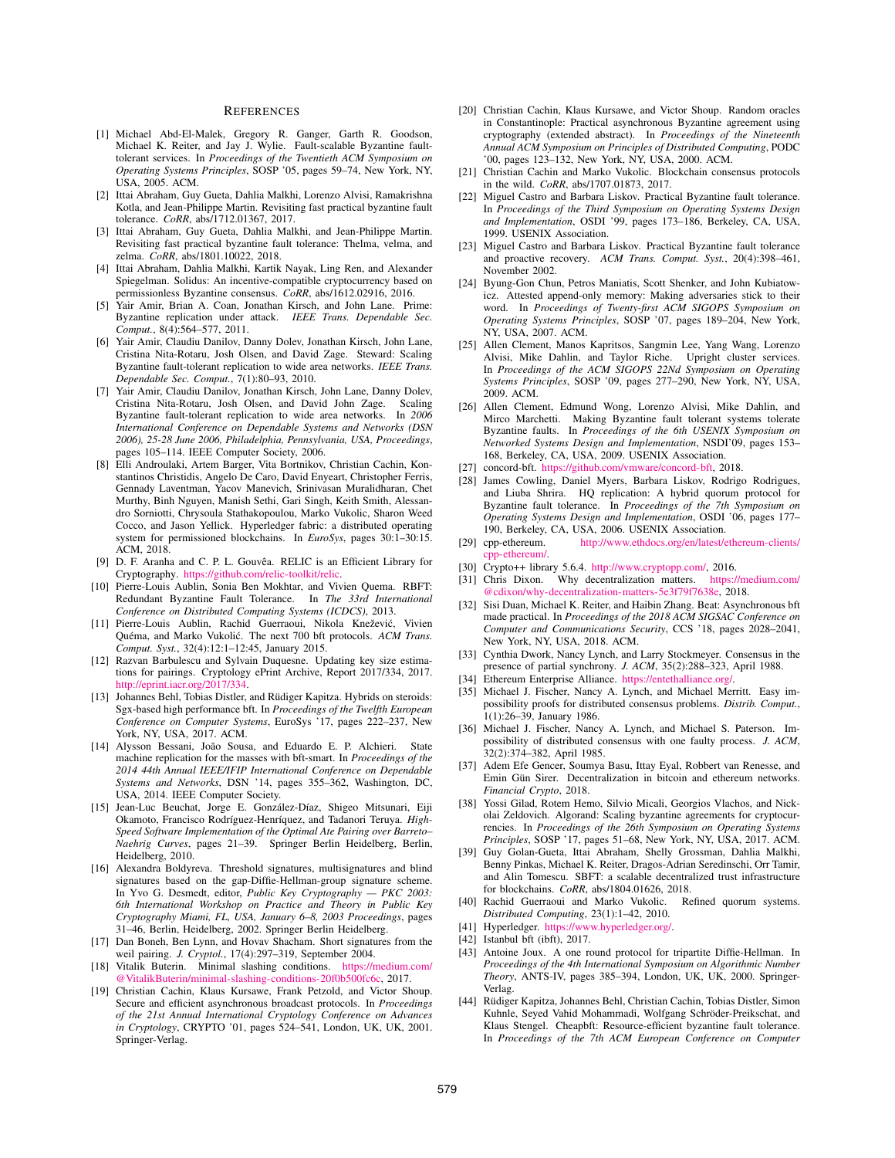#### **REFERENCES**

- [1] Michael Abd-El-Malek, Gregory R. Ganger, Garth R. Goodson, Michael K. Reiter, and Jay J. Wylie. Fault-scalable Byzantine faulttolerant services. In *Proceedings of the Twentieth ACM Symposium on Operating Systems Principles*, SOSP '05, pages 59–74, New York, NY, USA, 2005. ACM.
- [2] Ittai Abraham, Guy Gueta, Dahlia Malkhi, Lorenzo Alvisi, Ramakrishna Kotla, and Jean-Philippe Martin. Revisiting fast practical byzantine fault tolerance. *CoRR*, abs/1712.01367, 2017.
- [3] Ittai Abraham, Guy Gueta, Dahlia Malkhi, and Jean-Philippe Martin. Revisiting fast practical byzantine fault tolerance: Thelma, velma, and zelma. *CoRR*, abs/1801.10022, 2018.
- [4] Ittai Abraham, Dahlia Malkhi, Kartik Nayak, Ling Ren, and Alexander Spiegelman. Solidus: An incentive-compatible cryptocurrency based on permissionless Byzantine consensus. *CoRR*, abs/1612.02916, 2016.
- [5] Yair Amir, Brian A. Coan, Jonathan Kirsch, and John Lane. Prime: Byzantine replication under attack. *IEEE Trans. Dependable Sec. Comput.*, 8(4):564–577, 2011.
- [6] Yair Amir, Claudiu Danilov, Danny Dolev, Jonathan Kirsch, John Lane, Cristina Nita-Rotaru, Josh Olsen, and David Zage. Steward: Scaling Byzantine fault-tolerant replication to wide area networks. *IEEE Trans. Dependable Sec. Comput.*, 7(1):80–93, 2010.
- [7] Yair Amir, Claudiu Danilov, Jonathan Kirsch, John Lane, Danny Dolev, Cristina Nita-Rotaru, Josh Olsen, and David John Zage. Byzantine fault-tolerant replication to wide area networks. In *2006 International Conference on Dependable Systems and Networks (DSN 2006), 25-28 June 2006, Philadelphia, Pennsylvania, USA, Proceedings*, pages 105–114. IEEE Computer Society, 2006.
- [8] Elli Androulaki, Artem Barger, Vita Bortnikov, Christian Cachin, Konstantinos Christidis, Angelo De Caro, David Enyeart, Christopher Ferris, Gennady Laventman, Yacov Manevich, Srinivasan Muralidharan, Chet Murthy, Binh Nguyen, Manish Sethi, Gari Singh, Keith Smith, Alessandro Sorniotti, Chrysoula Stathakopoulou, Marko Vukolic, Sharon Weed Cocco, and Jason Yellick. Hyperledger fabric: a distributed operating system for permissioned blockchains. In *EuroSys*, pages 30:1–30:15. ACM, 2018.
- [9] D. F. Aranha and C. P. L. Gouvêa. RELIC is an Efficient Library for Cryptography. https://github.com/relic-toolkit/relic.
- [10] Pierre-Louis Aublin, Sonia Ben Mokhtar, and Vivien Quema. RBFT: Redundant Byzantine Fault Tolerance. In *The 33rd International Conference on Distributed Computing Systems (ICDCS)*, 2013.
- [11] Pierre-Louis Aublin, Rachid Guerraoui, Nikola Knežević, Vivien Quéma, and Marko Vukolić. The next 700 bft protocols. ACM Trans. *Comput. Syst.*, 32(4):12:1–12:45, January 2015.
- [12] Razvan Barbulescu and Sylvain Duquesne. Updating key size estimations for pairings. Cryptology ePrint Archive, Report 2017/334, 2017. http://eprint.iacr.org/2017/334.
- [13] Johannes Behl, Tobias Distler, and Rüdiger Kapitza. Hybrids on steroids: Sgx-based high performance bft. In *Proceedings of the Twelfth European Conference on Computer Systems*, EuroSys '17, pages 222–237, New York, NY, USA, 2017. ACM.
- [14] Alysson Bessani, João Sousa, and Eduardo E. P. Alchieri. State machine replication for the masses with bft-smart. In *Proceedings of the 2014 44th Annual IEEE/IFIP International Conference on Dependable Systems and Networks*, DSN '14, pages 355–362, Washington, DC, USA, 2014. IEEE Computer Society.
- [15] Jean-Luc Beuchat, Jorge E. González-Díaz, Shigeo Mitsunari, Eiji Okamoto, Francisco Rodríguez-Henríquez, and Tadanori Teruya. High-*Speed Software Implementation of the Optimal Ate Pairing over Barreto– Naehrig Curves*, pages 21–39. Springer Berlin Heidelberg, Berlin, Heidelberg, 2010.
- [16] Alexandra Boldyreva. Threshold signatures, multisignatures and blind signatures based on the gap-Diffie-Hellman-group signature scheme. In Yvo G. Desmedt, editor, *Public Key Cryptography — PKC 2003: 6th International Workshop on Practice and Theory in Public Key Cryptography Miami, FL, USA, January 6–8, 2003 Proceedings*, pages 31–46, Berlin, Heidelberg, 2002. Springer Berlin Heidelberg.
- [17] Dan Boneh, Ben Lynn, and Hovav Shacham. Short signatures from the weil pairing. *J. Cryptol.*, 17(4):297–319, September 2004.
- [18] Vitalik Buterin. Minimal slashing conditions. https://medium.com/ @VitalikButerin/minimal-slashing-conditions-20f0b500fc6c, 2017.
- [19] Christian Cachin, Klaus Kursawe, Frank Petzold, and Victor Shoup. Secure and efficient asynchronous broadcast protocols. In *Proceedings of the 21st Annual International Cryptology Conference on Advances in Cryptology*, CRYPTO '01, pages 524–541, London, UK, UK, 2001. Springer-Verlag.
- [20] Christian Cachin, Klaus Kursawe, and Victor Shoup. Random oracles in Constantinople: Practical asynchronous Byzantine agreement using cryptography (extended abstract). In *Proceedings of the Nineteenth Annual ACM Symposium on Principles of Distributed Computing*, PODC '00, pages 123–132, New York, NY, USA, 2000. ACM.
- [21] Christian Cachin and Marko Vukolic. Blockchain consensus protocols in the wild. *CoRR*, abs/1707.01873, 2017.
- [22] Miguel Castro and Barbara Liskov. Practical Byzantine fault tolerance. In *Proceedings of the Third Symposium on Operating Systems Design and Implementation*, OSDI '99, pages 173–186, Berkeley, CA, USA, 1999. USENIX Association.
- [23] Miguel Castro and Barbara Liskov. Practical Byzantine fault tolerance and proactive recovery. *ACM Trans. Comput. Syst.*, 20(4):398–461, November 2002.
- [24] Byung-Gon Chun, Petros Maniatis, Scott Shenker, and John Kubiatowicz. Attested append-only memory: Making adversaries stick to their word. In *Proceedings of Twenty-first ACM SIGOPS Symposium on Operating Systems Principles*, SOSP '07, pages 189–204, New York, NY, USA, 2007. ACM.
- [25] Allen Clement, Manos Kapritsos, Sangmin Lee, Yang Wang, Lorenzo Alvisi, Mike Dahlin, and Taylor Riche. Upright cluster services. In *Proceedings of the ACM SIGOPS 22Nd Symposium on Operating Systems Principles*, SOSP '09, pages 277–290, New York, NY, USA, 2009. ACM.
- [26] Allen Clement, Edmund Wong, Lorenzo Alvisi, Mike Dahlin, and Mirco Marchetti. Making Byzantine fault tolerant systems tolerate Byzantine faults. In *Proceedings of the 6th USENIX Symposium on Networked Systems Design and Implementation*, NSDI'09, pages 153– 168, Berkeley, CA, USA, 2009. USENIX Association.
- [27] concord-bft. https://github.com/vmware/concord-bft, 2018.
- [28] James Cowling, Daniel Myers, Barbara Liskov, Rodrigo Rodrigues, and Liuba Shrira. HQ replication: A hybrid quorum protocol for Byzantine fault tolerance. In *Proceedings of the 7th Symposium on Operating Systems Design and Implementation*, OSDI '06, pages 177– 190, Berkeley, CA, USA, 2006. USENIX Association.
- [29] cpp-ethereum. http://www.ethdocs.org/en/latest/ethereum-clients/ cpp-ethereum/.
- [30] Crypto++ library 5.6.4. http://www.cryptopp.com/, 2016.
- [31] Chris Dixon. Why decentralization matters. https://medium.com/ @cdixon/why-decentralization-matters-5e3f79f7638e, 2018.
- [32] Sisi Duan, Michael K. Reiter, and Haibin Zhang. Beat: Asynchronous bft made practical. In *Proceedings of the 2018 ACM SIGSAC Conference on Computer and Communications Security*, CCS '18, pages 2028–2041, New York, NY, USA, 2018. ACM.
- [33] Cynthia Dwork, Nancy Lynch, and Larry Stockmeyer. Consensus in the presence of partial synchrony. *J. ACM*, 35(2):288–323, April 1988.
- [34] Ethereum Enterprise Alliance. https://entethalliance.org/
- [35] Michael J. Fischer, Nancy A. Lynch, and Michael Merritt. Easy impossibility proofs for distributed consensus problems. *Distrib. Comput.*, 1(1):26–39, January 1986.
- [36] Michael J. Fischer, Nancy A. Lynch, and Michael S. Paterson. Impossibility of distributed consensus with one faulty process. *J. ACM*, 32(2):374–382, April 1985.
- [37] Adem Efe Gencer, Soumya Basu, Ittay Eyal, Robbert van Renesse, and Emin Gün Sirer. Decentralization in bitcoin and ethereum networks. *Financial Crypto*, 2018.
- [38] Yossi Gilad, Rotem Hemo, Silvio Micali, Georgios Vlachos, and Nickolai Zeldovich. Algorand: Scaling byzantine agreements for cryptocurrencies. In *Proceedings of the 26th Symposium on Operating Systems Principles*, SOSP '17, pages 51–68, New York, NY, USA, 2017. ACM.
- [39] Guy Golan-Gueta, Ittai Abraham, Shelly Grossman, Dahlia Malkhi, Benny Pinkas, Michael K. Reiter, Dragos-Adrian Seredinschi, Orr Tamir, and Alin Tomescu. SBFT: a scalable decentralized trust infrastructure for blockchains. *CoRR*, abs/1804.01626, 2018.
- [40] Rachid Guerraoui and Marko Vukolic. Refined quorum systems. *Distributed Computing*, 23(1):1–42, 2010.
- [41] Hyperledger. https://www.hyperledger.org/.
- [42] Istanbul bft (ibft), 2017.
- [43] Antoine Joux. A one round protocol for tripartite Diffie-Hellman. In *Proceedings of the 4th International Symposium on Algorithmic Number Theory*, ANTS-IV, pages 385–394, London, UK, UK, 2000. Springer-Verlag.
- [44] Rüdiger Kapitza, Johannes Behl, Christian Cachin, Tobias Distler, Simon Kuhnle, Seyed Vahid Mohammadi, Wolfgang Schröder-Preikschat, and Klaus Stengel. Cheapbft: Resource-efficient byzantine fault tolerance. In *Proceedings of the 7th ACM European Conference on Computer*